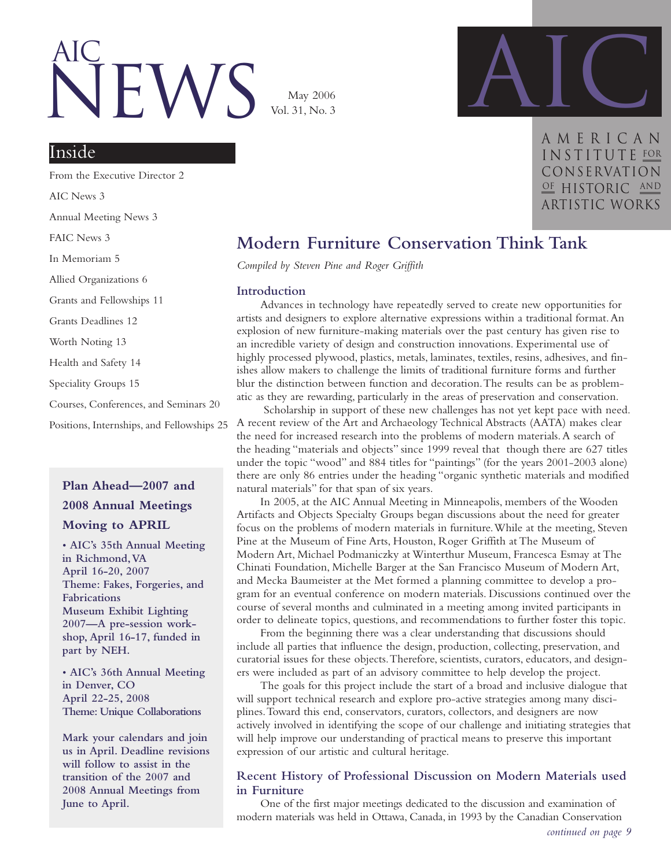# IFW<sup>®</sup> AIc

May 2006 Vol. 31, No. 3



**AMERICAN** INSTITUTE FOR Conservation OF HISTORIC AND artistic works

#### Inside

From the Executive Director 2 AIC News 3 Annual Meeting News 3 FAIC News 3 In Memoriam 5 Allied Organizations 6 Grants and Fellowships 11 Grants Deadlines 12 Worth Noting 13 Health and Safety 14 Speciality Groups 15 Courses, Conferences, and Seminars 20 Positions, Internships, and Fellowships 25

#### **Plan Ahead—2007 and 2008 Annual Meetings Moving to APRIL**

**• AIC's 35th Annual Meeting in Richmond,VA April 16-20, 2007 Theme: Fakes, Forgeries, and Fabrications Museum Exhibit Lighting 2007—A pre-session workshop, April 16-17, funded in part by NEH.**

**• AIC's 36th Annual Meeting in Denver, CO April 22-25, 2008 Theme: Unique Collaborations**

**Mark your calendars and join us in April. Deadline revisions will follow to assist in the transition of the 2007 and 2008 Annual Meetings from June to April.**

### **Modern Furniture Conservation Think Tank**

*Compiled by Steven Pine and Roger Griffith*

#### **Introduction**

Advances in technology have repeatedly served to create new opportunities for artists and designers to explore alternative expressions within a traditional format.An explosion of new furniture-making materials over the past century has given rise to an incredible variety of design and construction innovations. Experimental use of highly processed plywood, plastics, metals, laminates, textiles, resins, adhesives, and finishes allow makers to challenge the limits of traditional furniture forms and further blur the distinction between function and decoration.The results can be as problematic as they are rewarding, particularly in the areas of preservation and conservation.

Scholarship in support of these new challenges has not yet kept pace with need. A recent review of the Art and Archaeology Technical Abstracts (AATA) makes clear the need for increased research into the problems of modern materials.A search of the heading "materials and objects" since 1999 reveal that though there are 627 titles under the topic "wood" and 884 titles for "paintings" (for the years 2001-2003 alone) there are only 86 entries under the heading "organic synthetic materials and modified natural materials" for that span of six years.

In 2005, at the AIC Annual Meeting in Minneapolis, members of the Wooden Artifacts and Objects Specialty Groups began discussions about the need for greater focus on the problems of modern materials in furniture.While at the meeting, Steven Pine at the Museum of Fine Arts, Houston, Roger Griffith at The Museum of Modern Art, Michael Podmaniczky at Winterthur Museum, Francesca Esmay at The Chinati Foundation, Michelle Barger at the San Francisco Museum of Modern Art, and Mecka Baumeister at the Met formed a planning committee to develop a program for an eventual conference on modern materials. Discussions continued over the course of several months and culminated in a meeting among invited participants in order to delineate topics, questions, and recommendations to further foster this topic.

From the beginning there was a clear understanding that discussions should include all parties that influence the design, production, collecting, preservation, and curatorial issues for these objects.Therefore, scientists, curators, educators, and designers were included as part of an advisory committee to help develop the project.

The goals for this project include the start of a broad and inclusive dialogue that will support technical research and explore pro-active strategies among many disciplines.Toward this end, conservators, curators, collectors, and designers are now actively involved in identifying the scope of our challenge and initiating strategies that will help improve our understanding of practical means to preserve this important expression of our artistic and cultural heritage.

#### **Recent History of Professional Discussion on Modern Materials used in Furniture**

One of the first major meetings dedicated to the discussion and examination of modern materials was held in Ottawa, Canada, in 1993 by the Canadian Conservation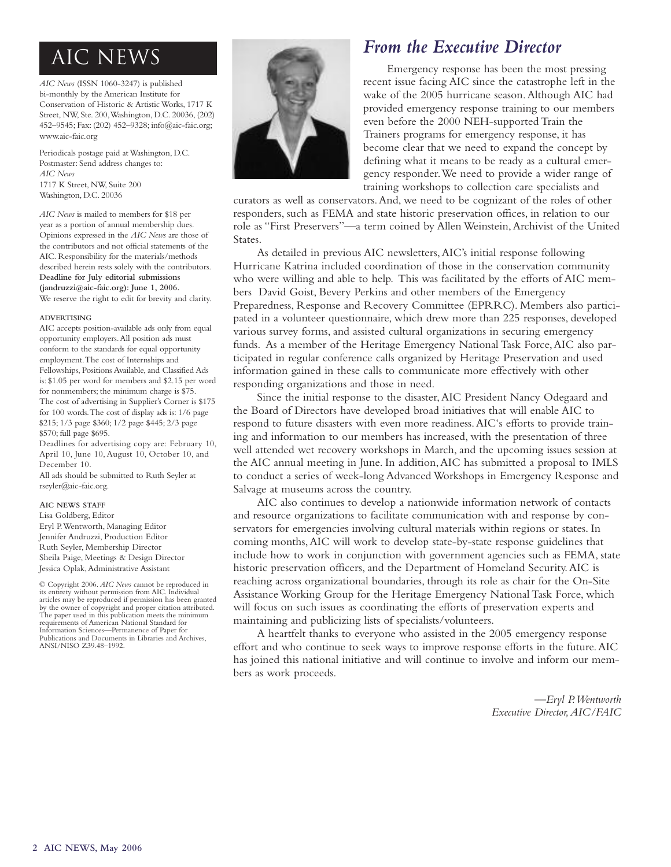*AIC News* (ISSN 1060-3247) is published bi-monthly by the American Institute for Conservation of Historic & Artistic Works, 1717 K Street, NW, Ste. 200,Washington, D.C. 20036, (202) 452–9545; Fax: (202) 452–9328; info@aic-faic.org; www.aic-faic.org

Periodicals postage paid at Washington, D.C. Postmaster: Send address changes to: *AIC News* 1717 K Street, NW, Suite 200 Washington, D.C. 20036

*AIC News* is mailed to members for \$18 per year as a portion of annual membership dues. Opinions expressed in the *AIC News* are those of the contributors and not official statements of the AIC. Responsibility for the materials/methods described herein rests solely with the contributors. **Deadline for July editorial submissions (jandruzzi@aic-faic.org): June 1, 2006.** We reserve the right to edit for brevity and clarity.

#### **ADVERTISING**

AIC accepts position-available ads only from equal opportunity employers.All position ads must conform to the standards for equal opportunity employment.The cost of Internships and Fellowships, Positions Available, and Classified Ads is: \$1.05 per word for members and \$2.15 per word for nonmembers; the minimum charge is \$75. The cost of advertising in Supplier's Corner is \$175 for 100 words.The cost of display ads is: 1/6 page \$215; 1/3 page \$360; 1/2 page \$445; 2/3 page \$570; full page \$695.

Deadlines for advertising copy are: February 10, April 10, June 10, August 10, October 10, and December 10.

All ads should be submitted to Ruth Seyler at rseyler@aic-faic.org.

#### **AIC NEWS STAFF**

Lisa Goldberg, Editor Eryl P.Wentworth, Managing Editor Jennifer Andruzzi, Production Editor Ruth Seyler, Membership Director

Sheila Paige, Meetings & Design Director Jessica Oplak,Administrative Assistant © Copyright 2006. *AIC News* cannot be reproduced in its entirety without permission from AIC. Individual articles may be reproduced if permission has been granted by the owner of copyright and proper citation attributed. The paper used in this publication meets the minimum

requirements of American National Standard for Information Sciences—Permanence of Paper for Publications and Documents in Libraries and Archives, ANSI/NISO Z39.48–1992.



Emergency response has been the most pressing recent issue facing AIC since the catastrophe left in the wake of the 2005 hurricane season.Although AIC had provided emergency response training to our members even before the 2000 NEH-supported Train the Trainers programs for emergency response, it has become clear that we need to expand the concept by defining what it means to be ready as a cultural emergency responder.We need to provide a wider range of training workshops to collection care specialists and

curators as well as conservators.And, we need to be cognizant of the roles of other responders, such as FEMA and state historic preservation offices, in relation to our role as "First Preservers"—a term coined by Allen Weinstein,Archivist of the United States.

As detailed in previous AIC newsletters,AIC's initial response following Hurricane Katrina included coordination of those in the conservation community who were willing and able to help. This was facilitated by the efforts of AIC members David Goist, Bevery Perkins and other members of the Emergency Preparedness, Response and Recovery Committee (EPRRC). Members also participated in a volunteer questionnaire, which drew more than 225 responses, developed various survey forms, and assisted cultural organizations in securing emergency funds. As a member of the Heritage Emergency National Task Force,AIC also participated in regular conference calls organized by Heritage Preservation and used information gained in these calls to communicate more effectively with other responding organizations and those in need.

Since the initial response to the disaster,AIC President Nancy Odegaard and the Board of Directors have developed broad initiatives that will enable AIC to respond to future disasters with even more readiness.AIC's efforts to provide training and information to our members has increased, with the presentation of three well attended wet recovery workshops in March, and the upcoming issues session at the AIC annual meeting in June. In addition,AIC has submitted a proposal to IMLS to conduct a series of week-long Advanced Workshops in Emergency Response and Salvage at museums across the country.

AIC also continues to develop a nationwide information network of contacts and resource organizations to facilitate communication with and response by conservators for emergencies involving cultural materials within regions or states. In coming months,AIC will work to develop state-by-state response guidelines that include how to work in conjunction with government agencies such as FEMA, state historic preservation officers, and the Department of Homeland Security.AIC is reaching across organizational boundaries, through its role as chair for the On-Site Assistance Working Group for the Heritage Emergency National Task Force, which will focus on such issues as coordinating the efforts of preservation experts and maintaining and publicizing lists of specialists/volunteers.

A heartfelt thanks to everyone who assisted in the 2005 emergency response effort and who continue to seek ways to improve response efforts in the future.AIC has joined this national initiative and will continue to involve and inform our members as work proceeds.

> *—Eryl P.Wentworth Executive Director,AIC/FAIC*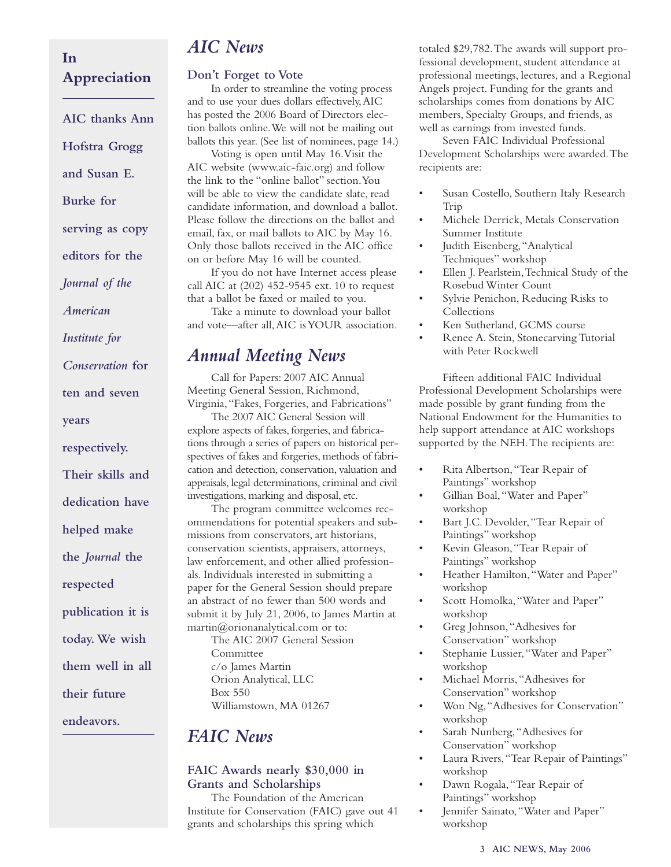#### **In Appreciation**

**AIC thanks Ann Hofstra Grogg and Susan E. Burke for serving as copy editors for the** *Journal of the American Institute for Conservation* **for ten and seven years respectively. Their skills and dedication have helped make the** *Journal* **the respected publication it is today.We wish them well in all their future endeavors.**

### *AIC News*

#### **Don't Forget to Vote**

In order to streamline the voting process and to use your dues dollars effectively,AIC has posted the 2006 Board of Directors election ballots online.We will not be mailing out ballots this year. (See list of nominees, page 14.)

Voting is open until May 16.Visit the AIC website (www.aic-faic.org) and follow the link to the "online ballot" section.You will be able to view the candidate slate, read candidate information, and download a ballot. Please follow the directions on the ballot and email, fax, or mail ballots to AIC by May 16. Only those ballots received in the AIC office on or before May 16 will be counted.

If you do not have Internet access please call AIC at (202) 452-9545 ext. 10 to request that a ballot be faxed or mailed to you.

Take a minute to download your ballot and vote—after all,AIC is YOUR association.

### *Annual Meeting News*

Call for Papers: 2007 AIC Annual Meeting General Session, Richmond, Virginia,"Fakes, Forgeries, and Fabrications" The 2007 AIC General Session will explore aspects of fakes, forgeries, and fabrications through a series of papers on historical perspectives of fakes and forgeries, methods of fabrication and detection, conservation, valuation and appraisals, legal determinations, criminal and civil investigations, marking and disposal, etc.

The program committee welcomes recommendations for potential speakers and submissions from conservators, art historians, conservation scientists, appraisers, attorneys, law enforcement, and other allied professionals. Individuals interested in submitting a paper for the General Session should prepare an abstract of no fewer than 500 words and submit it by July 21, 2006, to James Martin at martin@orionanalytical.com or to: The AIC 2007 General Session Committee c/o James Martin Orion Analytical, LLC Box 550 Williamstown, MA 01267

### *FAIC News*

#### **FAIC Awards nearly \$30,000 in Grants and Scholarships**

The Foundation of the American Institute for Conservation (FAIC) gave out 41 grants and scholarships this spring which

totaled \$29,782.The awards will support professional development, student attendance at professional meetings, lectures, and a Regional Angels project. Funding for the grants and scholarships comes from donations by AIC members, Specialty Groups, and friends, as well as earnings from invested funds.

Seven FAIC Individual Professional Development Scholarships were awarded.The recipients are:

- Susan Costello, Southern Italy Research Trip
- Michele Derrick, Metals Conservation Summer Institute
- Judith Eisenberg, "Analytical Techniques" workshop
- Ellen J. Pearlstein,Technical Study of the Rosebud Winter Count
- Sylvie Penichon, Reducing Risks to Collections
- Ken Sutherland, GCMS course
- Renee A. Stein, Stonecarving Tutorial with Peter Rockwell

Fifteen additional FAIC Individual Professional Development Scholarships were made possible by grant funding from the National Endowment for the Humanities to help support attendance at AIC workshops supported by the NEH.The recipients are:

- Rita Albertson,"Tear Repair of Paintings" workshop
- Gillian Boal, "Water and Paper" workshop
- Bart J.C. Devolder, "Tear Repair of Paintings" workshop
- Kevin Gleason,"Tear Repair of Paintings" workshop
- Heather Hamilton,"Water and Paper" workshop
- Scott Homolka,"Water and Paper" workshop
- Greg Johnson,"Adhesives for Conservation" workshop
- Stephanie Lussier,"Water and Paper" workshop
- Michael Morris,"Adhesives for Conservation" workshop
- Won Ng,"Adhesives for Conservation" workshop
- Sarah Nunberg, "Adhesives for Conservation" workshop
- Laura Rivers, "Tear Repair of Paintings" workshop
- Dawn Rogala,"Tear Repair of Paintings" workshop
- Jennifer Sainato, "Water and Paper" workshop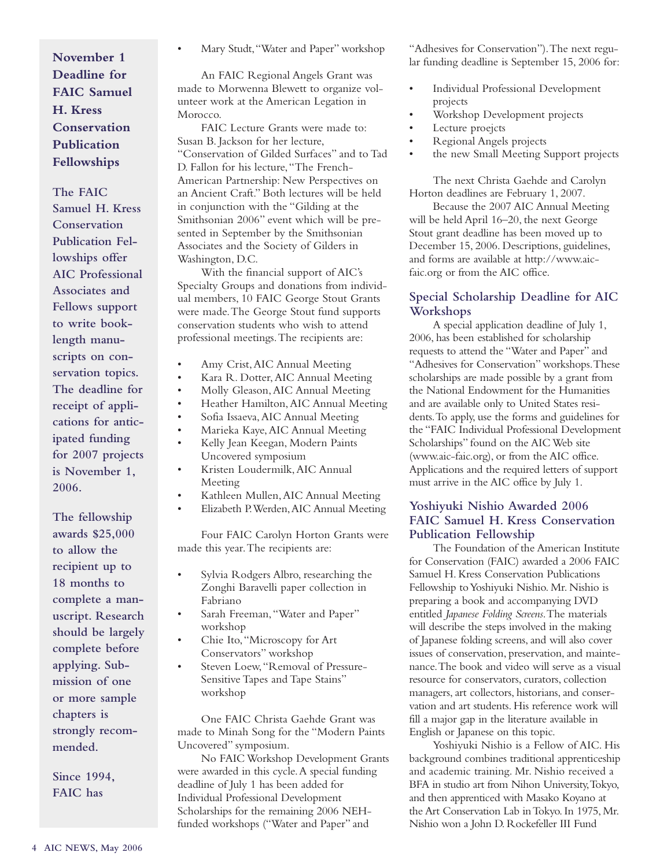**November 1 Deadline for FAIC Samuel H. Kress Conservation Publication Fellowships**

**The FAIC Samuel H. Kress Conservation Publication Fellowships offer AIC Professional Associates and Fellows support to write booklength manuscripts on conservation topics. The deadline for receipt of applications for anticipated funding for 2007 projects is November 1, 2006.**

**The fellowship awards \$25,000 to allow the recipient up to 18 months to complete a manuscript. Research should be largely complete before applying. Submission of one or more sample chapters is strongly recommended.**

**Since 1994, FAIC has**

• Mary Studt,"Water and Paper" workshop

An FAIC Regional Angels Grant was made to Morwenna Blewett to organize volunteer work at the American Legation in Morocco.

FAIC Lecture Grants were made to: Susan B. Jackson for her lecture, "Conservation of Gilded Surfaces" and to Tad D. Fallon for his lecture,"The French-American Partnership: New Perspectives on an Ancient Craft." Both lectures will be held in conjunction with the "Gilding at the Smithsonian 2006" event which will be presented in September by the Smithsonian Associates and the Society of Gilders in Washington, D.C.

With the financial support of AIC's Specialty Groups and donations from individual members, 10 FAIC George Stout Grants were made.The George Stout fund supports conservation students who wish to attend professional meetings.The recipients are:

- Amy Crist,AIC Annual Meeting
- Kara R. Dotter,AIC Annual Meeting
- Molly Gleason,AIC Annual Meeting
- Heather Hamilton,AIC Annual Meeting
- Sofia Issaeva,AIC Annual Meeting
- Marieka Kaye,AIC Annual Meeting
- Kelly Jean Keegan, Modern Paints Uncovered symposium
- Kristen Loudermilk,AIC Annual Meeting
- Kathleen Mullen,AIC Annual Meeting
- Elizabeth P.Werden,AIC Annual Meeting

Four FAIC Carolyn Horton Grants were made this year.The recipients are:

- Sylvia Rodgers Albro, researching the Zonghi Baravelli paper collection in Fabriano
- Sarah Freeman, "Water and Paper" workshop
- Chie Ito,"Microscopy for Art Conservators" workshop
- Steven Loew, "Removal of Pressure-Sensitive Tapes and Tape Stains" workshop

One FAIC Christa Gaehde Grant was made to Minah Song for the "Modern Paints Uncovered" symposium.

No FAIC Workshop Development Grants were awarded in this cycle.A special funding deadline of July 1 has been added for Individual Professional Development Scholarships for the remaining 2006 NEHfunded workshops ("Water and Paper" and

"Adhesives for Conservation").The next regular funding deadline is September 15, 2006 for:

- Individual Professional Development projects
- Workshop Development projects
- Lecture proejcts
- Regional Angels projects
- the new Small Meeting Support projects

The next Christa Gaehde and Carolyn Horton deadlines are February 1, 2007.

Because the 2007 AIC Annual Meeting will be held April 16–20, the next George Stout grant deadline has been moved up to December 15, 2006. Descriptions, guidelines, and forms are available at http://www.aicfaic.org or from the AIC office.

#### **Special Scholarship Deadline for AIC Workshops**

A special application deadline of July 1, 2006, has been established for scholarship requests to attend the "Water and Paper" and "Adhesives for Conservation" workshops.These scholarships are made possible by a grant from the National Endowment for the Humanities and are available only to United States residents.To apply, use the forms and guidelines for the "FAIC Individual Professional Development Scholarships" found on the AIC Web site (www.aic-faic.org), or from the AIC office. Applications and the required letters of support must arrive in the AIC office by July 1.

#### **Yoshiyuki Nishio Awarded 2006 FAIC Samuel H. Kress Conservation Publication Fellowship**

The Foundation of the American Institute for Conservation (FAIC) awarded a 2006 FAIC Samuel H. Kress Conservation Publications Fellowship to Yoshiyuki Nishio. Mr. Nishio is preparing a book and accompanying DVD entitled *Japanese Folding Screens*.The materials will describe the steps involved in the making of Japanese folding screens, and will also cover issues of conservation, preservation, and maintenance.The book and video will serve as a visual resource for conservators, curators, collection managers, art collectors, historians, and conservation and art students. His reference work will fill a major gap in the literature available in English or Japanese on this topic.

Yoshiyuki Nishio is a Fellow of AIC. His background combines traditional apprenticeship and academic training. Mr. Nishio received a BFA in studio art from Nihon University,Tokyo, and then apprenticed with Masako Koyano at the Art Conservation Lab in Tokyo. In 1975, Mr. Nishio won a John D. Rockefeller III Fund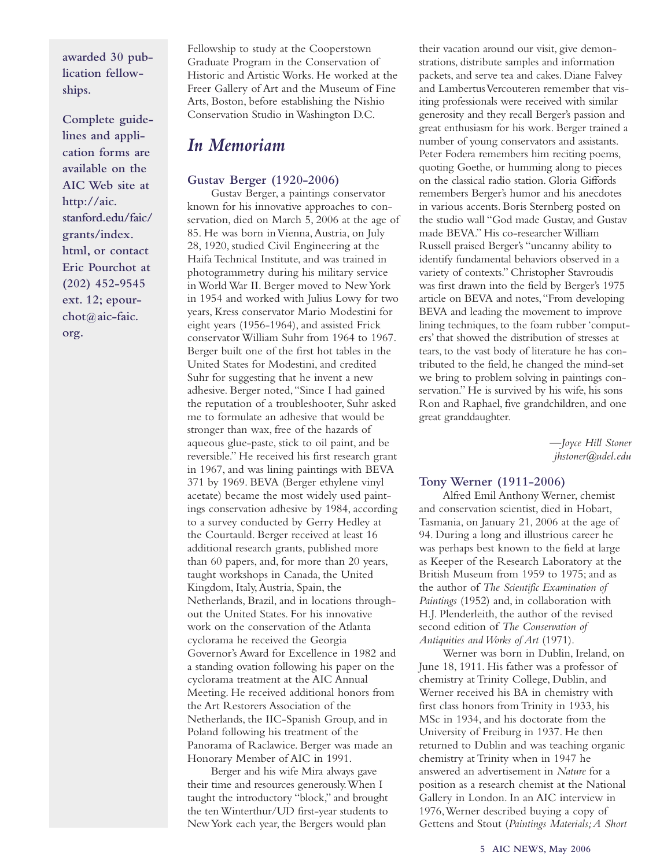**awarded 30 publication fellowships.**

**Complete guidelines and application forms are available on the AIC Web site at http://aic. stanford.edu/faic/ grants/index. html, or contact Eric Pourchot at (202) 452-9545 ext. 12; epourchot@aic-faic. org.**

Fellowship to study at the Cooperstown Graduate Program in the Conservation of Historic and Artistic Works. He worked at the Freer Gallery of Art and the Museum of Fine Arts, Boston, before establishing the Nishio Conservation Studio in Washington D.C.

### *In Memoriam*

#### **Gustav Berger (1920-2006)**

Gustav Berger, a paintings conservator known for his innovative approaches to conservation, died on March 5, 2006 at the age of 85. He was born in Vienna,Austria, on July 28, 1920, studied Civil Engineering at the Haifa Technical Institute, and was trained in photogrammetry during his military service in World War II. Berger moved to New York in 1954 and worked with Julius Lowy for two years, Kress conservator Mario Modestini for eight years (1956-1964), and assisted Frick conservator William Suhr from 1964 to 1967. Berger built one of the first hot tables in the United States for Modestini, and credited Suhr for suggesting that he invent a new adhesive. Berger noted,"Since I had gained the reputation of a troubleshooter, Suhr asked me to formulate an adhesive that would be stronger than wax, free of the hazards of aqueous glue-paste, stick to oil paint, and be reversible." He received his first research grant in 1967, and was lining paintings with BEVA 371 by 1969. BEVA (Berger ethylene vinyl acetate) became the most widely used paintings conservation adhesive by 1984, according to a survey conducted by Gerry Hedley at the Courtauld. Berger received at least 16 additional research grants, published more than 60 papers, and, for more than 20 years, taught workshops in Canada, the United Kingdom, Italy,Austria, Spain, the Netherlands, Brazil, and in locations throughout the United States. For his innovative work on the conservation of the Atlanta cyclorama he received the Georgia Governor's Award for Excellence in 1982 and a standing ovation following his paper on the cyclorama treatment at the AIC Annual Meeting. He received additional honors from the Art Restorers Association of the Netherlands, the IIC-Spanish Group, and in Poland following his treatment of the Panorama of Raclawice. Berger was made an Honorary Member of AIC in 1991.

Berger and his wife Mira always gave their time and resources generously.When I taught the introductory "block," and brought the ten Winterthur/UD first-year students to New York each year, the Bergers would plan

their vacation around our visit, give demonstrations, distribute samples and information packets, and serve tea and cakes. Diane Falvey and Lambertus Vercouteren remember that visiting professionals were received with similar generosity and they recall Berger's passion and great enthusiasm for his work. Berger trained a number of young conservators and assistants. Peter Fodera remembers him reciting poems, quoting Goethe, or humming along to pieces on the classical radio station. Gloria Giffords remembers Berger's humor and his anecdotes in various accents. Boris Sternberg posted on the studio wall "God made Gustav, and Gustav made BEVA." His co-researcher William Russell praised Berger's "uncanny ability to identify fundamental behaviors observed in a variety of contexts." Christopher Stavroudis was first drawn into the field by Berger's 1975 article on BEVA and notes,"From developing BEVA and leading the movement to improve lining techniques, to the foam rubber 'computers' that showed the distribution of stresses at tears, to the vast body of literature he has contributed to the field, he changed the mind-set we bring to problem solving in paintings conservation." He is survived by his wife, his sons Ron and Raphael, five grandchildren, and one great granddaughter.

> *—Joyce Hill Stoner jhstoner@udel.edu*

#### **Tony Werner (1911-2006)**

Alfred Emil Anthony Werner, chemist and conservation scientist, died in Hobart, Tasmania, on January 21, 2006 at the age of 94. During a long and illustrious career he was perhaps best known to the field at large as Keeper of the Research Laboratory at the British Museum from 1959 to 1975; and as the author of *The Scientific Examination of Paintings* (1952) and, in collaboration with H.J. Plenderleith, the author of the revised second edition of *The Conservation of Antiquities and Works of Art* (1971).

Werner was born in Dublin, Ireland, on June 18, 1911. His father was a professor of chemistry at Trinity College, Dublin, and Werner received his BA in chemistry with first class honors from Trinity in 1933, his MSc in 1934, and his doctorate from the University of Freiburg in 1937. He then returned to Dublin and was teaching organic chemistry at Trinity when in 1947 he answered an advertisement in *Nature* for a position as a research chemist at the National Gallery in London. In an AIC interview in 1976,Werner described buying a copy of Gettens and Stout (*Paintings Materials;A Short*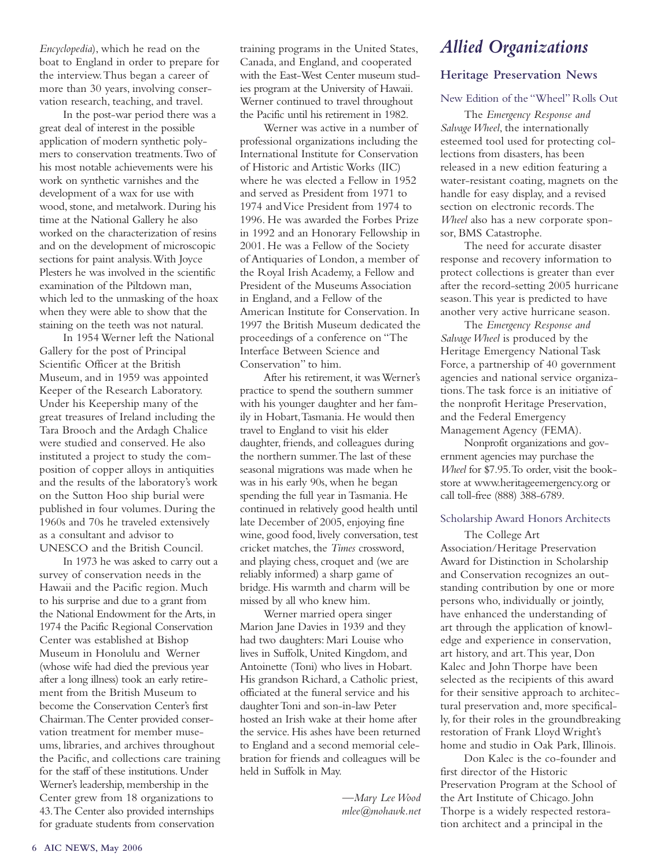*Encyclopedia*), which he read on the boat to England in order to prepare for the interview.Thus began a career of more than 30 years, involving conservation research, teaching, and travel.

In the post-war period there was a great deal of interest in the possible application of modern synthetic polymers to conservation treatments.Two of his most notable achievements were his work on synthetic varnishes and the development of a wax for use with wood, stone, and metalwork. During his time at the National Gallery he also worked on the characterization of resins and on the development of microscopic sections for paint analysis.With Joyce Plesters he was involved in the scientific examination of the Piltdown man, which led to the unmasking of the hoax when they were able to show that the staining on the teeth was not natural.

In 1954 Werner left the National Gallery for the post of Principal Scientific Officer at the British Museum, and in 1959 was appointed Keeper of the Research Laboratory. Under his Keepership many of the great treasures of Ireland including the Tara Brooch and the Ardagh Chalice were studied and conserved. He also instituted a project to study the composition of copper alloys in antiquities and the results of the laboratory's work on the Sutton Hoo ship burial were published in four volumes. During the 1960s and 70s he traveled extensively as a consultant and advisor to UNESCO and the British Council.

In 1973 he was asked to carry out a survey of conservation needs in the Hawaii and the Pacific region. Much to his surprise and due to a grant from the National Endowment for the Arts, in 1974 the Pacific Regional Conservation Center was established at Bishop Museum in Honolulu and Werner (whose wife had died the previous year after a long illness) took an early retirement from the British Museum to become the Conservation Center's first Chairman.The Center provided conservation treatment for member museums, libraries, and archives throughout the Pacific, and collections care training for the staff of these institutions. Under Werner's leadership, membership in the Center grew from 18 organizations to 43.The Center also provided internships for graduate students from conservation

training programs in the United States, Canada, and England, and cooperated with the East-West Center museum studies program at the University of Hawaii. Werner continued to travel throughout the Pacific until his retirement in 1982.

Werner was active in a number of professional organizations including the International Institute for Conservation of Historic and Artistic Works (IIC) where he was elected a Fellow in 1952 and served as President from 1971 to 1974 and Vice President from 1974 to 1996. He was awarded the Forbes Prize in 1992 and an Honorary Fellowship in 2001. He was a Fellow of the Society of Antiquaries of London, a member of the Royal Irish Academy, a Fellow and President of the Museums Association in England, and a Fellow of the American Institute for Conservation. In 1997 the British Museum dedicated the proceedings of a conference on "The Interface Between Science and Conservation" to him.

After his retirement, it was Werner's practice to spend the southern summer with his younger daughter and her family in Hobart,Tasmania. He would then travel to England to visit his elder daughter, friends, and colleagues during the northern summer.The last of these seasonal migrations was made when he was in his early 90s, when he began spending the full year in Tasmania. He continued in relatively good health until late December of 2005, enjoying fine wine, good food, lively conversation, test cricket matches, the *Times* crossword, and playing chess, croquet and (we are reliably informed) a sharp game of bridge. His warmth and charm will be missed by all who knew him.

Werner married opera singer Marion Jane Davies in 1939 and they had two daughters: Mari Louise who lives in Suffolk, United Kingdom, and Antoinette (Toni) who lives in Hobart. His grandson Richard, a Catholic priest, officiated at the funeral service and his daughter Toni and son-in-law Peter hosted an Irish wake at their home after the service. His ashes have been returned to England and a second memorial celebration for friends and colleagues will be held in Suffolk in May.

> *—Mary Lee Wood mlee@mohawk.net*

### *Allied Organizations*

#### **Heritage Preservation News**

#### New Edition of the "Wheel" Rolls Out

The *Emergency Response and Salvage Wheel*, the internationally esteemed tool used for protecting collections from disasters, has been released in a new edition featuring a water-resistant coating, magnets on the handle for easy display, and a revised section on electronic records.The *Wheel* also has a new corporate sponsor, BMS Catastrophe.

The need for accurate disaster response and recovery information to protect collections is greater than ever after the record-setting 2005 hurricane season.This year is predicted to have another very active hurricane season.

The *Emergency Response and Salvage Wheel* is produced by the Heritage Emergency National Task Force, a partnership of 40 government agencies and national service organizations.The task force is an initiative of the nonprofit Heritage Preservation, and the Federal Emergency Management Agency (FEMA).

Nonprofit organizations and government agencies may purchase the *Wheel* for \$7.95.To order, visit the bookstore at www.heritageemergency.org or call toll-free (888) 388-6789.

#### Scholarship Award Honors Architects

The College Art Association/Heritage Preservation Award for Distinction in Scholarship and Conservation recognizes an outstanding contribution by one or more persons who, individually or jointly, have enhanced the understanding of art through the application of knowledge and experience in conservation, art history, and art.This year, Don Kalec and John Thorpe have been selected as the recipients of this award for their sensitive approach to architectural preservation and, more specifically, for their roles in the groundbreaking restoration of Frank Lloyd Wright's home and studio in Oak Park, Illinois.

Don Kalec is the co-founder and first director of the Historic Preservation Program at the School of the Art Institute of Chicago. John Thorpe is a widely respected restoration architect and a principal in the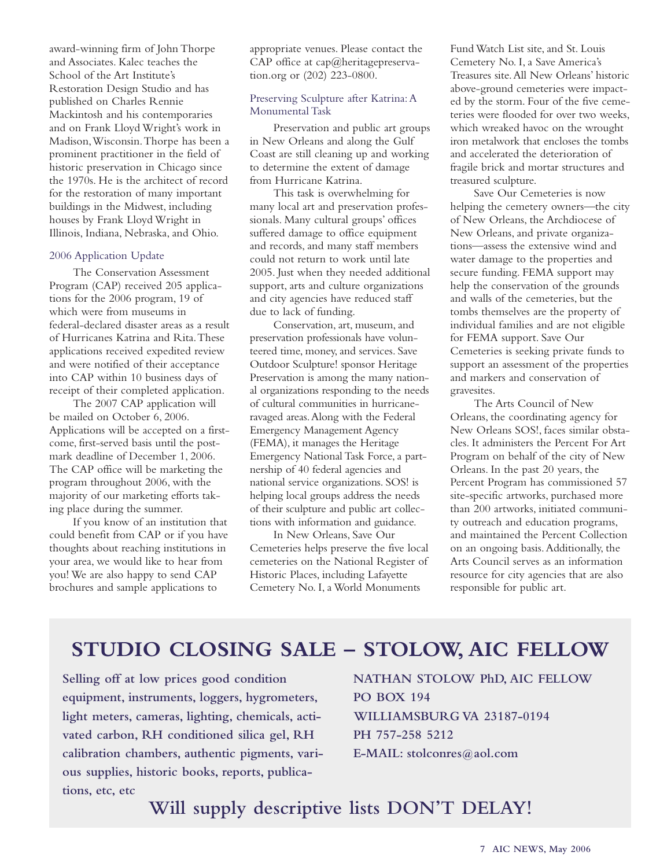award-winning firm of John Thorpe and Associates. Kalec teaches the School of the Art Institute's Restoration Design Studio and has published on Charles Rennie Mackintosh and his contemporaries and on Frank Lloyd Wright's work in Madison,Wisconsin.Thorpe has been a prominent practitioner in the field of historic preservation in Chicago since the 1970s. He is the architect of record for the restoration of many important buildings in the Midwest, including houses by Frank Lloyd Wright in Illinois, Indiana, Nebraska, and Ohio.

#### 2006 Application Update

The Conservation Assessment Program (CAP) received 205 applications for the 2006 program, 19 of which were from museums in federal-declared disaster areas as a result of Hurricanes Katrina and Rita.These applications received expedited review and were notified of their acceptance into CAP within 10 business days of receipt of their completed application.

The 2007 CAP application will be mailed on October 6, 2006. Applications will be accepted on a firstcome, first-served basis until the postmark deadline of December 1, 2006. The CAP office will be marketing the program throughout 2006, with the majority of our marketing efforts taking place during the summer.

If you know of an institution that could benefit from CAP or if you have thoughts about reaching institutions in your area, we would like to hear from you! We are also happy to send CAP brochures and sample applications to

appropriate venues. Please contact the CAP office at cap@heritagepreservation.org or (202) 223-0800.

#### Preserving Sculpture after Katrina:A Monumental Task

Preservation and public art groups in New Orleans and along the Gulf Coast are still cleaning up and working to determine the extent of damage from Hurricane Katrina.

This task is overwhelming for many local art and preservation professionals. Many cultural groups' offices suffered damage to office equipment and records, and many staff members could not return to work until late 2005. Just when they needed additional support, arts and culture organizations and city agencies have reduced staff due to lack of funding.

Conservation, art, museum, and preservation professionals have volunteered time, money, and services. Save Outdoor Sculpture! sponsor Heritage Preservation is among the many national organizations responding to the needs of cultural communities in hurricaneravaged areas.Along with the Federal Emergency Management Agency (FEMA), it manages the Heritage Emergency National Task Force, a partnership of 40 federal agencies and national service organizations. SOS! is helping local groups address the needs of their sculpture and public art collections with information and guidance.

In New Orleans, Save Our Cemeteries helps preserve the five local cemeteries on the National Register of Historic Places, including Lafayette Cemetery No. I, a World Monuments

Fund Watch List site, and St. Louis Cemetery No. I, a Save America's Treasures site.All New Orleans' historic above-ground cemeteries were impacted by the storm. Four of the five cemeteries were flooded for over two weeks, which wreaked havoc on the wrought iron metalwork that encloses the tombs and accelerated the deterioration of fragile brick and mortar structures and treasured sculpture.

Save Our Cemeteries is now helping the cemetery owners—the city of New Orleans, the Archdiocese of New Orleans, and private organizations—assess the extensive wind and water damage to the properties and secure funding. FEMA support may help the conservation of the grounds and walls of the cemeteries, but the tombs themselves are the property of individual families and are not eligible for FEMA support. Save Our Cemeteries is seeking private funds to support an assessment of the properties and markers and conservation of gravesites.

The Arts Council of New Orleans, the coordinating agency for New Orleans SOS!, faces similar obstacles. It administers the Percent For Art Program on behalf of the city of New Orleans. In the past 20 years, the Percent Program has commissioned 57 site-specific artworks, purchased more than 200 artworks, initiated community outreach and education programs, and maintained the Percent Collection on an ongoing basis.Additionally, the Arts Council serves as an information resource for city agencies that are also responsible for public art.

### **STUDIO CLOSING SALE – STOLOW, AIC FELLOW**

**Selling off at low prices good condition equipment, instruments, loggers, hygrometers, light meters, cameras, lighting, chemicals, activated carbon, RH conditioned silica gel, RH calibration chambers, authentic pigments, various supplies, historic books, reports, publications, etc, etc**

**NATHAN STOLOW PhD, AIC FELLOW PO BOX 194 WILLIAMSBURG VA 23187-0194 PH 757-258 5212 E-MAIL: stolconres@aol.com**

**Will supply descriptive lists DON'T DELAY!**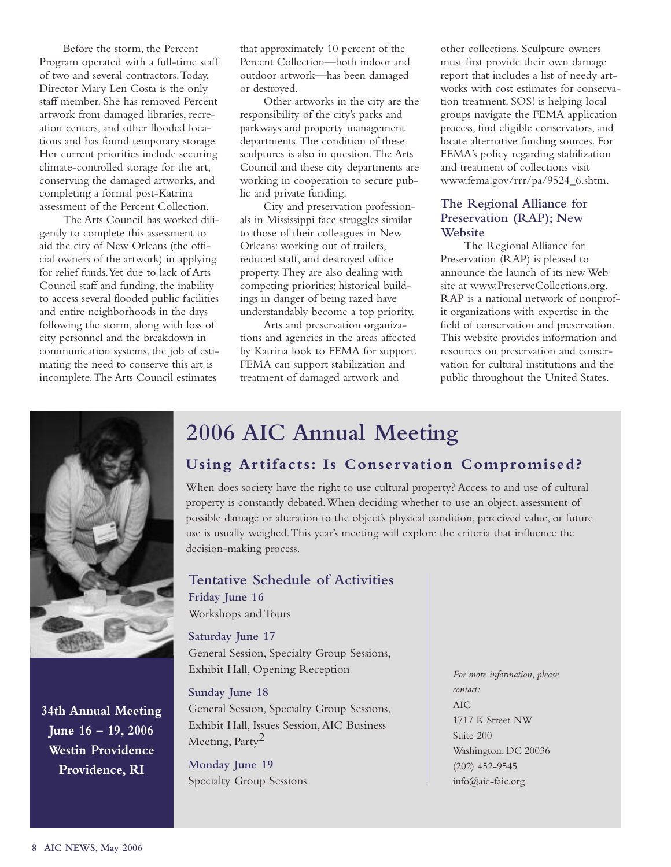Before the storm, the Percent Program operated with a full-time staff of two and several contractors.Today, Director Mary Len Costa is the only staff member. She has removed Percent artwork from damaged libraries, recreation centers, and other flooded locations and has found temporary storage. Her current priorities include securing climate-controlled storage for the art, conserving the damaged artworks, and completing a formal post-Katrina assessment of the Percent Collection.

The Arts Council has worked diligently to complete this assessment to aid the city of New Orleans (the official owners of the artwork) in applying for relief funds.Yet due to lack of Arts Council staff and funding, the inability to access several flooded public facilities and entire neighborhoods in the days following the storm, along with loss of city personnel and the breakdown in communication systems, the job of estimating the need to conserve this art is incomplete.The Arts Council estimates

that approximately 10 percent of the Percent Collection—both indoor and outdoor artwork—has been damaged or destroyed.

Other artworks in the city are the responsibility of the city's parks and parkways and property management departments.The condition of these sculptures is also in question.The Arts Council and these city departments are working in cooperation to secure public and private funding.

City and preservation professionals in Mississippi face struggles similar to those of their colleagues in New Orleans: working out of trailers, reduced staff, and destroyed office property.They are also dealing with competing priorities; historical buildings in danger of being razed have understandably become a top priority.

Arts and preservation organizations and agencies in the areas affected by Katrina look to FEMA for support. FEMA can support stabilization and treatment of damaged artwork and

other collections. Sculpture owners must first provide their own damage report that includes a list of needy artworks with cost estimates for conservation treatment. SOS! is helping local groups navigate the FEMA application process, find eligible conservators, and locate alternative funding sources. For FEMA's policy regarding stabilization and treatment of collections visit www.fema.gov/rrr/pa/9524\_6.shtm.

#### **The Regional Alliance for Preservation (RAP); New Website**

The Regional Alliance for Preservation (RAP) is pleased to announce the launch of its new Web site at www.PreserveCollections.org. RAP is a national network of nonprofit organizations with expertise in the field of conservation and preservation. This website provides information and resources on preservation and conservation for cultural institutions and the public throughout the United States.



**34th Annual Meeting June 16 – 19, 2006 Westin Providence Providence, RI**

### **2006 AIC Annual Meeting**

### **Using Artifacts: Is Conservation Compromised?**

When does society have the right to use cultural property? Access to and use of cultural property is constantly debated.When deciding whether to use an object, assessment of possible damage or alteration to the object's physical condition, perceived value, or future use is usually weighed.This year's meeting will explore the criteria that influence the decision-making process.

### **Tentative Schedule of Activities**

**Friday June 16** Workshops and Tours

#### **Saturday June 17**

General Session, Specialty Group Sessions, Exhibit Hall, Opening Reception

#### **Sunday June 18**

General Session, Specialty Group Sessions, Exhibit Hall, Issues Session,AIC Business Meeting, Party<sup>2</sup>

**Monday June 19** Specialty Group Sessions

*For more information, please contact:* AIC 1717 K Street NW Suite 200 Washington, DC 20036 (202) 452-9545 info@aic-faic.org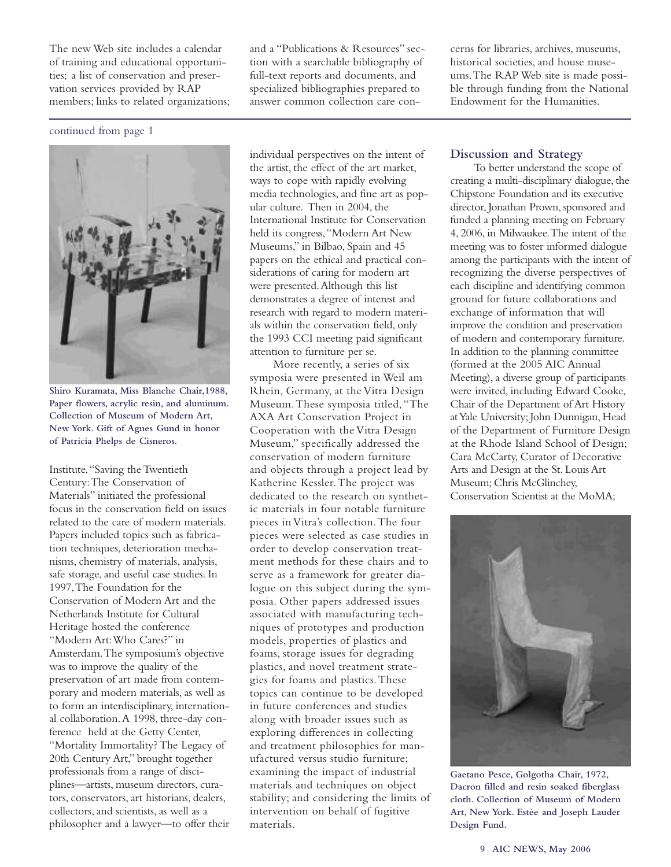The new Web site includes a calendar of training and educational opportunities; a list of conservation and preservation services provided by RAP members; links to related organizations; and a "Publications & Resources" section with a searchable bibliography of full-text reports and documents, and specialized bibliographies prepared to answer common collection care con-

cerns for libraries, archives, museums, historical societies, and house museums.The RAP Web site is made possible through funding from the National Endowment for the Humanities.

#### continued from page 1



**Shiro Kuramata, Miss Blanche Chair,1988, Paper flowers, acrylic resin, and aluminum. Collection of Museum of Modern Art, New York. Gift of Agnes Gund in honor of Patricia Phelps de Cisneros.**

Institute."Saving the Twentieth Century:The Conservation of Materials" initiated the professional focus in the conservation field on issues related to the care of modern materials. Papers included topics such as fabrication techniques, deterioration mechanisms, chemistry of materials, analysis, safe storage, and useful case studies. In 1997,The Foundation for the Conservation of Modern Art and the Netherlands Institute for Cultural Heritage hosted the conference "Modern Art:Who Cares?" in Amsterdam.The symposium's objective was to improve the quality of the preservation of art made from contemporary and modern materials, as well as to form an interdisciplinary, international collaboration.A 1998, three-day conference held at the Getty Center, "Mortality Immortality? The Legacy of 20th Century Art," brought together professionals from a range of disciplines—artists, museum directors, curators, conservators, art historians, dealers, collectors,and scientists,as well as a philosopher and a lawyer—to offer their individual perspectives on the intent of the artist, the effect of the art market, ways to cope with rapidly evolving media technologies, and fine art as popular culture. Then in 2004, the International Institute for Conservation held its congress,"Modern Art New Museums," in Bilbao, Spain and 45 papers on the ethical and practical considerations of caring for modern art were presented.Although this list demonstrates a degree of interest and research with regard to modern materials within the conservation field, only the 1993 CCI meeting paid significant attention to furniture per se.

More recently, a series of six symposia were presented in Weil am Rhein, Germany, at the Vitra Design Museum.These symposia titled,"The AXA Art Conservation Project in Cooperation with the Vitra Design Museum," specifically addressed the conservation of modern furniture and objects through a project lead by Katherine Kessler.The project was dedicated to the research on synthetic materials in four notable furniture pieces in Vitra's collection.The four pieces were selected as case studies in order to develop conservation treatment methods for these chairs and to serve as a framework for greater dialogue on this subject during the symposia. Other papers addressed issues associated with manufacturing techniques of prototypes and production models, properties of plastics and foams, storage issues for degrading plastics, and novel treatment strategies for foams and plastics.These topics can continue to be developed in future conferences and studies along with broader issues such as exploring differences in collecting and treatment philosophies for manufactured versus studio furniture; examining the impact of industrial materials and techniques on object stability; and considering the limits of intervention on behalf of fugitive materials.

#### **Discussion and Strategy**

To better understand the scope of creating a multi-disciplinary dialogue, the Chipstone Foundation and its executive director, Jonathan Prown, sponsored and funded a planning meeting on February 4, 2006, in Milwaukee.The intent of the meeting was to foster informed dialogue among the participants with the intent of recognizing the diverse perspectives of each discipline and identifying common ground for future collaborations and exchange of information that will improve the condition and preservation of modern and contemporary furniture. In addition to the planning committee (formed at the 2005 AIC Annual Meeting), a diverse group of participants were invited, including Edward Cooke, Chair of the Department of Art History at Yale University; John Dunnigan, Head of the Department of Furniture Design at the Rhode Island School of Design; Cara McCarty, Curator of Decorative Arts and Design at the St. Louis Art Museum; Chris McGlinchey, Conservation Scientist at the MoMA;



**Gaetano Pesce, Golgotha Chair, 1972, Dacron filled and resin soaked fiberglass cloth. Collection of Museum of Modern Art, New York. Estée and Joseph Lauder Design Fund.**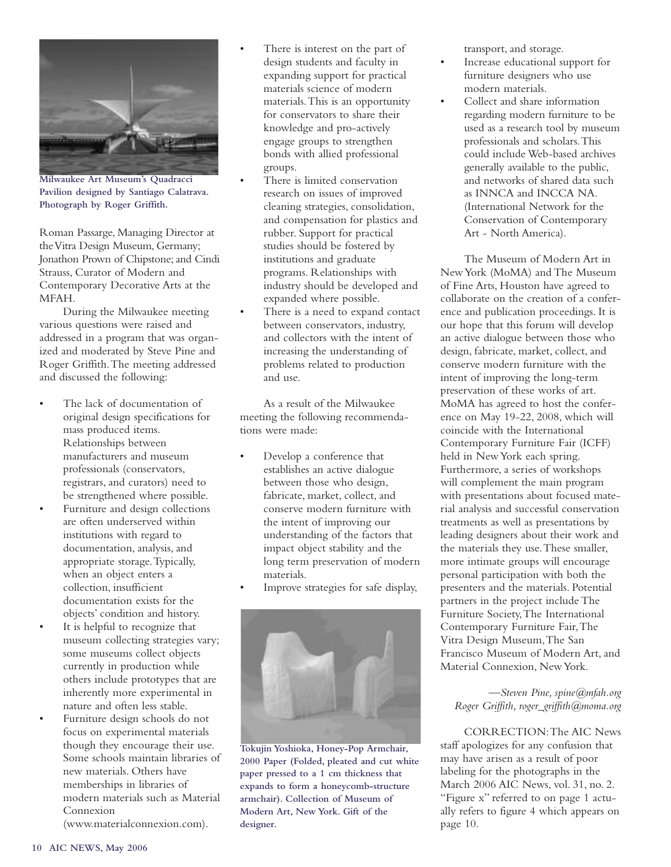

**Milwaukee Art Museum's Quadracci Pavilion designed by Santiago Calatrava. Photograph by Roger Griffith.**

Roman Passarge, Managing Director at the Vitra Design Museum, Germany; Jonathon Prown of Chipstone; and Cindi Strauss, Curator of Modern and Contemporary Decorative Arts at the MFAH.

During the Milwaukee meeting various questions were raised and addressed in a program that was organized and moderated by Steve Pine and Roger Griffith.The meeting addressed and discussed the following:

- The lack of documentation of original design specifications for mass produced items. Relationships between manufacturers and museum professionals (conservators, registrars, and curators) need to be strengthened where possible.
- Furniture and design collections are often underserved within institutions with regard to documentation, analysis, and appropriate storage.Typically, when an object enters a collection, insufficient documentation exists for the objects' condition and history.
- It is helpful to recognize that museum collecting strategies vary; some museums collect objects currently in production while others include prototypes that are inherently more experimental in nature and often less stable.
- Furniture design schools do not focus on experimental materials though they encourage their use. Some schools maintain libraries of new materials. Others have memberships in libraries of modern materials such as Material Connexion

(www.materialconnexion.com).

- There is interest on the part of design students and faculty in expanding support for practical materials science of modern materials.This is an opportunity for conservators to share their knowledge and pro-actively engage groups to strengthen bonds with allied professional groups.
- There is limited conservation research on issues of improved cleaning strategies, consolidation, and compensation for plastics and rubber. Support for practical studies should be fostered by institutions and graduate programs. Relationships with industry should be developed and expanded where possible.
- There is a need to expand contact between conservators, industry, and collectors with the intent of increasing the understanding of problems related to production and use.

As a result of the Milwaukee meeting the following recommendations were made:

- Develop a conference that establishes an active dialogue between those who design, fabricate, market, collect, and conserve modern furniture with the intent of improving our understanding of the factors that impact object stability and the long term preservation of modern materials.
- Improve strategies for safe display,



**Tokujin Yoshioka, Honey-Pop Armchair, 2000 Paper (Folded, pleated and cut white paper pressed to a 1 cm thickness that expands to form a honeycomb-structure armchair). Collection of Museum of Modern Art, New York. Gift of the designer.**

transport, and storage.

- Increase educational support for furniture designers who use modern materials.
- Collect and share information regarding modern furniture to be used as a research tool by museum professionals and scholars.This could include Web-based archives generally available to the public, and networks of shared data such as INNCA and INCCA NA. (International Network for the Conservation of Contemporary Art - North America).

The Museum of Modern Art in New York (MoMA) and The Museum of Fine Arts, Houston have agreed to collaborate on the creation of a conference and publication proceedings. It is our hope that this forum will develop an active dialogue between those who design, fabricate, market, collect, and conserve modern furniture with the intent of improving the long-term preservation of these works of art. MoMA has agreed to host the conference on May 19-22, 2008, which will coincide with the International Contemporary Furniture Fair (ICFF) held in NewYork each spring. Furthermore, a series of workshops will complement the main program with presentations about focused material analysis and successful conservation treatments as well as presentations by leading designers about their work and the materials they use.These smaller, more intimate groups will encourage personal participation with both the presenters and the materials. Potential partners in the project include The Furniture Society,The International Contemporary Furniture Fair,The Vitra Design Museum,The San Francisco Museum of Modern Art, and Material Connexion, New York.

*—Steven Pine, spine@mfah.org Roger Griffith, roger\_griffith@moma.org*

CORRECTION:The AIC News staff apologizes for any confusion that may have arisen as a result of poor labeling for the photographs in the March 2006 AIC News, vol. 31, no. 2. "Figure x" referred to on page 1 actually refers to figure 4 which appears on page 10.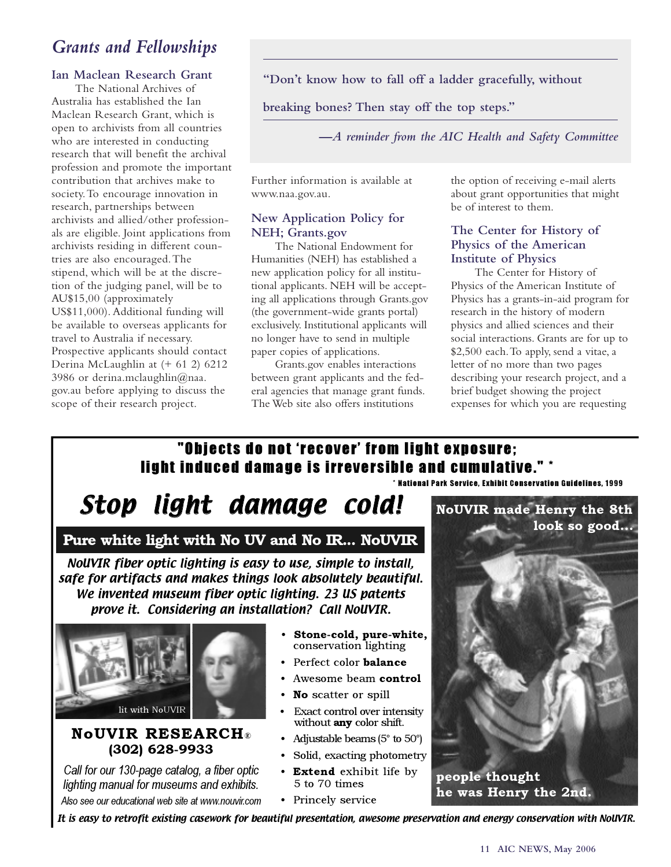### *Grants and Fellowships*

#### **Ian Maclean Research Grant**

The National Archives of Australia has established the Ian Maclean Research Grant, which is open to archivists from all countries who are interested in conducting research that will benefit the archival profession and promote the important contribution that archives make to society.To encourage innovation in research, partnerships between archivists and allied/other professionals are eligible. Joint applications from archivists residing in different countries are also encouraged.The stipend, which will be at the discretion of the judging panel, will be to AU\$15,00 (approximately US\$11,000). Additional funding will be available to overseas applicants for travel to Australia if necessary. Prospective applicants should contact Derina McLaughlin at (+ 61 2) 6212 3986 or derina.mclaughlin@naa. gov.au before applying to discuss the scope of their research project.

**"Don't know how to fall off a ladder gracefully, without**

**breaking bones? Then stay off the top steps."**

*—A reminder from the AIC Health and Safety Committee*

Further information is available at www.naa.gov.au.

#### **New Application Policy for NEH; Grants.gov**

The National Endowment for Humanities (NEH) has established a new application policy for all institutional applicants. NEH will be accepting all applications through Grants.gov (the government-wide grants portal) exclusively. Institutional applicants will no longer have to send in multiple paper copies of applications.

Grants.gov enables interactions between grant applicants and the federal agencies that manage grant funds. The Web site also offers institutions

the option of receiving e-mail alerts about grant opportunities that might be of interest to them.

#### **The Center for History of Physics of the American Institute of Physics**

The Center for History of Physics of the American Institute of Physics has a grants-in-aid program for research in the history of modern physics and allied sciences and their social interactions. Grants are for up to \$2,500 each.To apply, send a vitae, a letter of no more than two pages describing your research project, and a brief budget showing the project expenses for which you are requesting

### "Objects do not 'recover' from light exposure; light induced damage is irreversible and cumulative.

\* National Park Service, Exhibit Conservation Guidelines, 1999

## Stop light damage cold!

### **Pure white light with No UV and No IR... NoUVIR**

NoUVIR fiber optic lighting is easy to use, simple to install, safe for artifacts and makes things look absolutely beautiful. We invented museum fiber optic lighting. 23 US patents prove it. Considering an installation? Call NoUVIR.



#### **NoUVIR RESEARCH**® **(302) 628-9933**

*Call for our 130-page catalog, a fiber optic lighting manual for museums and exhibits.* Also see our educational web site at www.nouvir.com

- **Stone-cold, pure-white,** conservation lighting
- Perfect color **balance**
- Awesome beam **control**
- **No** scatter or spill
- **Exact control over intensity** without **any** color shift.
- Adjustable beams (5° to 50°)
- Solid, exacting photometry
- **Extend** exhibit life by 5 to 70 times
- Princely service

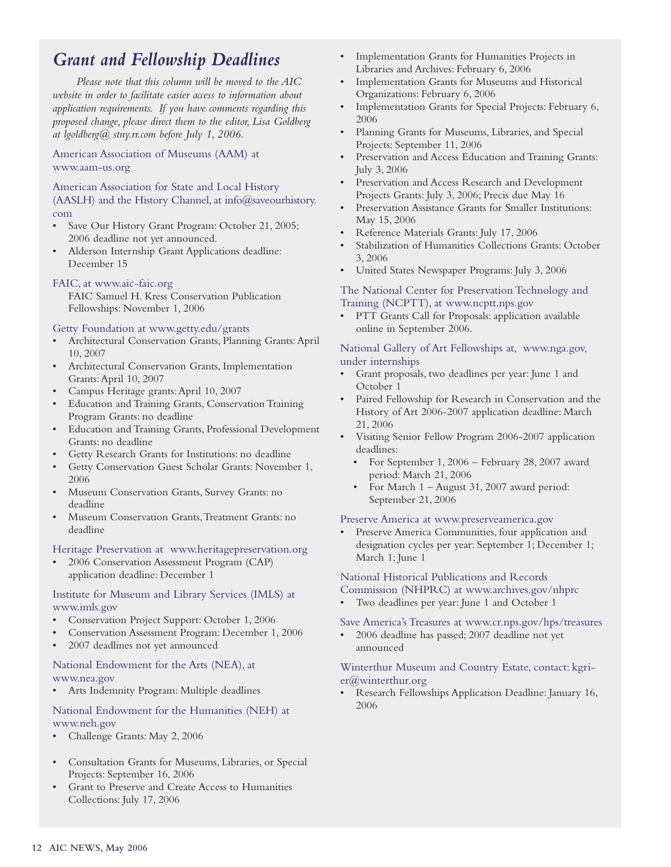### *Grant and Fellowship Deadlines*

*Please note that this column will be moved to the AIC website in order to facilitate easier access to information about application requirements. If you have comments regarding this proposed change, please direct them to the editor, Lisa Goldberg at lgoldberg@ stny.rr.com before July 1, 2006.*

American Association of Museums (AAM) at www.aam-us.org

American Association for State and Local History (AASLH) and the History Channel, at info@saveourhistory. com

- Save Our History Grant Program: October 21, 2005; 2006 deadline not yet announced.
- Alderson Internship Grant Applications deadline: December 15

#### FAIC, at www.aic-faic.org

FAIC Samuel H. Kress Conservation Publication Fellowships: November 1, 2006

Getty Foundation at www.getty.edu/grants

- Architectural Conservation Grants, Planning Grants: April 10, 2007
- Architectural Conservation Grants, Implementation Grants:April 10, 2007
- Campus Heritage grants:April 10, 2007
- Education and Training Grants, Conservation Training Program Grants: no deadline
- Education and Training Grants, Professional Development Grants: no deadline
- Getty Research Grants for Institutions: no deadline
- Getty Conservation Guest Scholar Grants: November 1, 2006
- Museum Conservation Grants, Survey Grants: no deadline
- Museum Conservation Grants, Treatment Grants: no deadline

Heritage Preservation at www.heritagepreservation.org

• 2006 Conservation Assessment Program (CAP) application deadline: December 1

#### Institute for Museum and Library Services (IMLS) at www.imls.gov

- Conservation Project Support: October 1, 2006
- Conservation Assessment Program: December 1, 2006
- 2007 deadlines not yet announced

#### National Endowment for the Arts (NEA), at www.nea.gov

• Arts Indemnity Program: Multiple deadlines

National Endowment for the Humanities (NEH) at www.neh.gov

- Challenge Grants: May 2, 2006
- Consultation Grants for Museums, Libraries, or Special Projects: September 16, 2006
- Grant to Preserve and Create Access to Humanities Collections: July 17, 2006
- Implementation Grants for Humanities Projects in Libraries and Archives: February 6, 2006
- Implementation Grants for Museums and Historical Organizations: February 6, 2006
- Implementation Grants for Special Projects: February 6, 2006
- Planning Grants for Museums, Libraries, and Special Projects: September 11, 2006
- Preservation and Access Education and Training Grants: July 3, 2006
- Preservation and Access Research and Development Projects Grants: July 3, 2006; Precis due May 16
- Preservation Assistance Grants for Smaller Institutions: May 15, 2006
- Reference Materials Grants: July 17, 2006
- Stabilization of Humanities Collections Grants: October 3, 2006
- United States Newspaper Programs: July 3, 2006

#### The National Center for Preservation Technology and Training (NCPTT), at www.ncptt.nps.gov

• PTT Grants Call for Proposals: application available online in September 2006.

National Gallery of Art Fellowships at, www.nga.gov, under internships

- Grant proposals, two deadlines per year: June 1 and October 1
- Paired Fellowship for Research in Conservation and the History of Art 2006-2007 application deadline: March 21, 2006
- Visiting Senior Fellow Program 2006-2007 application deadlines:
	- For September 1, 2006 February 28, 2007 award period: March 21, 2006
	- For March 1 August 31, 2007 award period: September 21, 2006

#### Preserve America at www.preserveamerica.gov

Preserve America Communities, four application and designation cycles per year: September 1; December 1; March 1; June 1

National Historical Publications and Records

- Commission (NHPRC) at www.archives.gov/nhprc
- Two deadlines per year: June 1 and October 1

#### Save America's Treasures at www.cr.nps.gov/hps/treasures

• 2006 deadline has passed; 2007 deadline not yet announced

#### Winterthur Museum and Country Estate, contact: kgrier@winterthur.org

• Research Fellowships Application Deadline: January 16, 2006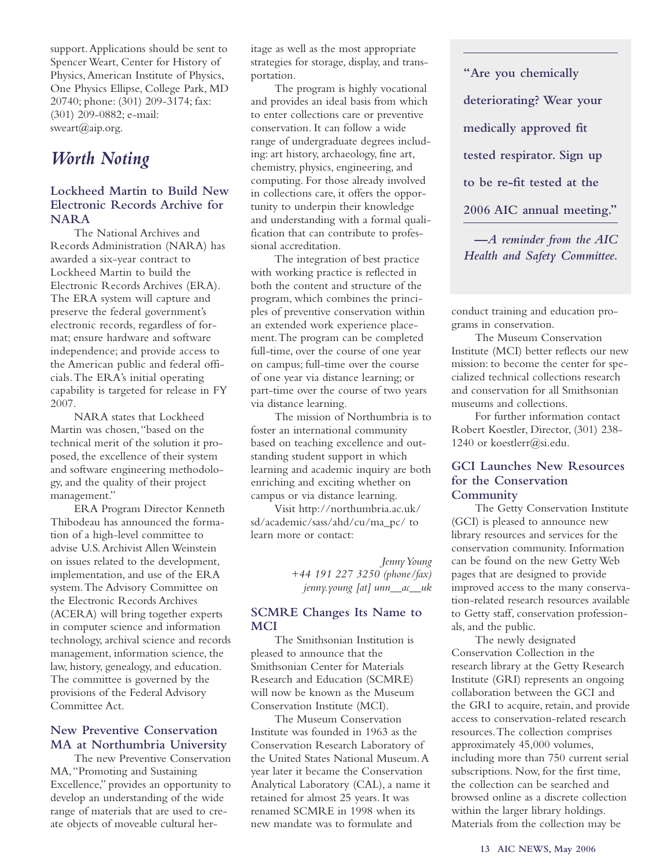support.Applications should be sent to Spencer Weart, Center for History of Physics,American Institute of Physics, One Physics Ellipse, College Park, MD 20740; phone: (301) 209-3174; fax: (301) 209-0882; e-mail: sweart $(a)$ aip.org.

### *Worth Noting*

#### **Lockheed Martin to Build New Electronic Records Archive for NARA**

The National Archives and Records Administration (NARA) has awarded a six-year contract to Lockheed Martin to build the Electronic Records Archives (ERA). The ERA system will capture and preserve the federal government's electronic records, regardless of format; ensure hardware and software independence; and provide access to the American public and federal officials.The ERA's initial operating capability is targeted for release in FY 2007.

NARA states that Lockheed Martin was chosen,"based on the technical merit of the solution it proposed, the excellence of their system and software engineering methodology, and the quality of their project management."

ERA Program Director Kenneth Thibodeau has announced the formation of a high-level committee to advise U.S.Archivist Allen Weinstein on issues related to the development, implementation, and use of the ERA system.The Advisory Committee on the Electronic Records Archives (ACERA) will bring together experts in computer science and information technology, archival science and records management, information science, the law, history, genealogy, and education. The committee is governed by the provisions of the Federal Advisory Committee Act.

#### **New Preventive Conservation MA at Northumbria University**

The new Preventive Conservation MA,"Promoting and Sustaining Excellence," provides an opportunity to develop an understanding of the wide range of materials that are used to create objects of moveable cultural heritage as well as the most appropriate strategies for storage, display, and transportation.

The program is highly vocational and provides an ideal basis from which to enter collections care or preventive conservation. It can follow a wide range of undergraduate degrees including: art history, archaeology, fine art, chemistry, physics, engineering, and computing. For those already involved in collections care, it offers the opportunity to underpin their knowledge and understanding with a formal qualification that can contribute to professional accreditation.

The integration of best practice with working practice is reflected in both the content and structure of the program, which combines the principles of preventive conservation within an extended work experience placement.The program can be completed full-time, over the course of one year on campus; full-time over the course of one year via distance learning; or part-time over the course of two years via distance learning.

The mission of Northumbria is to foster an international community based on teaching excellence and outstanding student support in which learning and academic inquiry are both enriching and exciting whether on campus or via distance learning.

Visit http://northumbria.ac.uk/ sd/academic/sass/ahd/cu/ma\_pc/ to learn more or contact:

> *Jenny Young +44 191 227 3250 (phone/fax) jenny.young [at] unn\_\_ac\_\_uk*

#### **SCMRE Changes Its Name to MCI**

The Smithsonian Institution is pleased to announce that the Smithsonian Center for Materials Research and Education (SCMRE) will now be known as the Museum Conservation Institute (MCI).

The Museum Conservation Institute was founded in 1963 as the Conservation Research Laboratory of the United States National Museum.A year later it became the Conservation Analytical Laboratory (CAL), a name it retained for almost 25 years. It was renamed SCMRE in 1998 when its new mandate was to formulate and

**"Are you chemically deteriorating? Wear your medically approved fit tested respirator. Sign up to be re-fit tested at the 2006 AIC annual meeting."**

*—A reminder from the AIC Health and Safety Committee.*

conduct training and education programs in conservation.

The Museum Conservation Institute (MCI) better reflects our new mission: to become the center for specialized technical collections research and conservation for all Smithsonian museums and collections.

For further information contact Robert Koestler, Director, (301) 238- 1240 or koestlerr@si.edu.

#### **GCI Launches New Resources for the Conservation Community**

The Getty Conservation Institute (GCI) is pleased to announce new library resources and services for the conservation community. Information can be found on the new Getty Web pages that are designed to provide improved access to the many conservation-related research resources available to Getty staff, conservation professionals, and the public.

The newly designated Conservation Collection in the research library at the Getty Research Institute (GRI) represents an ongoing collaboration between the GCI and the GRI to acquire, retain, and provide access to conservation-related research resources.The collection comprises approximately 45,000 volumes, including more than 750 current serial subscriptions. Now, for the first time, the collection can be searched and browsed online as a discrete collection within the larger library holdings. Materials from the collection may be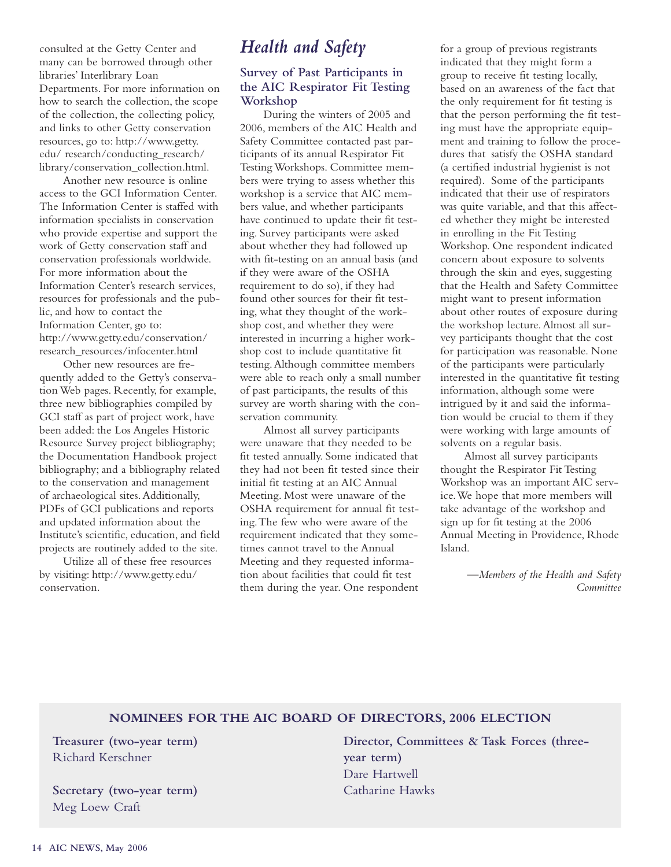consulted at the Getty Center and many can be borrowed through other libraries' Interlibrary Loan Departments. For more information on how to search the collection, the scope of the collection, the collecting policy, and links to other Getty conservation resources, go to: http://www.getty. edu/ research/conducting\_research/ library/conservation\_collection.html.

Another new resource is online access to the GCI Information Center. The Information Center is staffed with information specialists in conservation who provide expertise and support the work of Getty conservation staff and conservation professionals worldwide. For more information about the Information Center's research services, resources for professionals and the public, and how to contact the Information Center, go to: http://www.getty.edu/conservation/ research\_resources/infocenter.html

Other new resources are frequently added to the Getty's conservation Web pages. Recently, for example, three new bibliographies compiled by GCI staff as part of project work, have been added: the Los Angeles Historic Resource Survey project bibliography; the Documentation Handbook project bibliography; and a bibliography related to the conservation and management of archaeological sites.Additionally, PDFs of GCI publications and reports and updated information about the Institute's scientific, education, and field projects are routinely added to the site.

Utilize all of these free resources by visiting: http://www.getty.edu/ conservation.

### *Health and Safety*

#### **Survey of Past Participants in the AIC Respirator Fit Testing Workshop**

During the winters of 2005 and 2006, members of the AIC Health and Safety Committee contacted past participants of its annual Respirator Fit Testing Workshops. Committee members were trying to assess whether this workshop is a service that AIC members value, and whether participants have continued to update their fit testing. Survey participants were asked about whether they had followed up with fit-testing on an annual basis (and if they were aware of the OSHA requirement to do so), if they had found other sources for their fit testing, what they thought of the workshop cost, and whether they were interested in incurring a higher workshop cost to include quantitative fit testing.Although committee members were able to reach only a small number of past participants, the results of this survey are worth sharing with the conservation community.

Almost all survey participants were unaware that they needed to be fit tested annually. Some indicated that they had not been fit tested since their initial fit testing at an AIC Annual Meeting. Most were unaware of the OSHA requirement for annual fit testing.The few who were aware of the requirement indicated that they sometimes cannot travel to the Annual Meeting and they requested information about facilities that could fit test them during the year. One respondent

for a group of previous registrants indicated that they might form a group to receive fit testing locally, based on an awareness of the fact that the only requirement for fit testing is that the person performing the fit testing must have the appropriate equipment and training to follow the procedures that satisfy the OSHA standard (a certified industrial hygienist is not required). Some of the participants indicated that their use of respirators was quite variable, and that this affected whether they might be interested in enrolling in the Fit Testing Workshop. One respondent indicated concern about exposure to solvents through the skin and eyes, suggesting that the Health and Safety Committee might want to present information about other routes of exposure during the workshop lecture.Almost all survey participants thought that the cost for participation was reasonable. None of the participants were particularly interested in the quantitative fit testing information, although some were intrigued by it and said the information would be crucial to them if they were working with large amounts of solvents on a regular basis.

Almost all survey participants thought the Respirator Fit Testing Workshop was an important AIC service.We hope that more members will take advantage of the workshop and sign up for fit testing at the 2006 Annual Meeting in Providence, Rhode Island.

> *—Members of the Health and Safety Committee*

#### **NOMINEES FOR THE AIC BOARD OF DIRECTORS, 2006 ELECTION**

**Treasurer (two-year term)** Richard Kerschner

**Secretary (two-year term)** Meg Loew Craft

**Director, Committees & Task Forces (threeyear term)** Dare Hartwell Catharine Hawks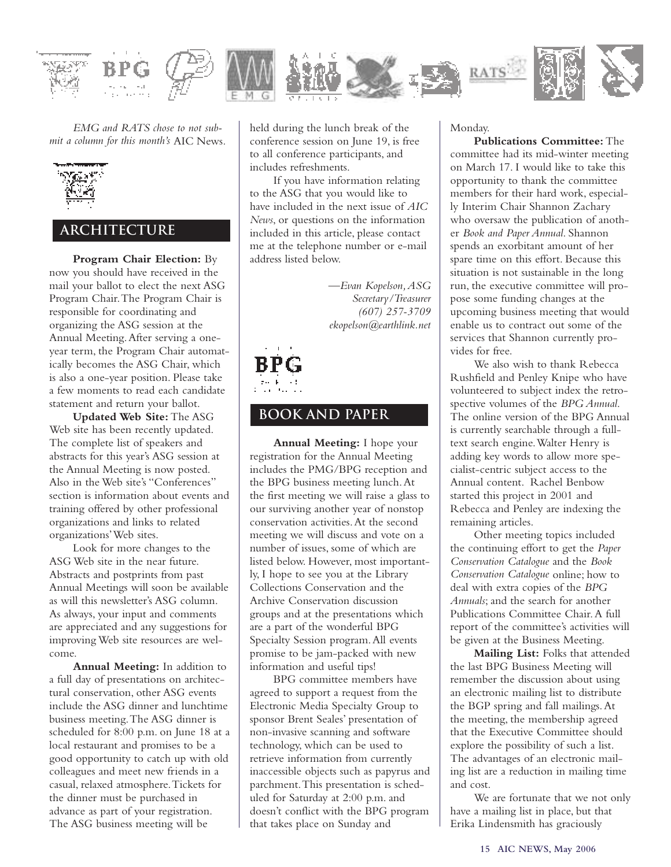

*EMG and RATS chose to not submit a column for this month's* AIC News*.*



#### **architecture**

**Program Chair Election:** By now you should have received in the mail your ballot to elect the next ASG Program Chair.The Program Chair is responsible for coordinating and organizing the ASG session at the Annual Meeting.After serving a oneyear term, the Program Chair automatically becomes the ASG Chair, which is also a one-year position. Please take a few moments to read each candidate statement and return your ballot.

**Updated Web Site:** The ASG Web site has been recently updated. The complete list of speakers and abstracts for this year's ASG session at the Annual Meeting is now posted. Also in the Web site's "Conferences" section is information about events and training offered by other professional organizations and links to related organizations'Web sites.

Look for more changes to the ASG Web site in the near future. Abstracts and postprints from past Annual Meetings will soon be available as will this newsletter's ASG column. As always, your input and comments are appreciated and any suggestions for improving Web site resources are welcome.

**Annual Meeting:** In addition to a full day of presentations on architectural conservation, other ASG events include the ASG dinner and lunchtime business meeting.The ASG dinner is scheduled for 8:00 p.m. on June 18 at a local restaurant and promises to be a good opportunity to catch up with old colleagues and meet new friends in a casual, relaxed atmosphere.Tickets for the dinner must be purchased in advance as part of your registration. The ASG business meeting will be

held during the lunch break of the conference session on June 19, is free to all conference participants, and includes refreshments.

If you have information relating to the ASG that you would like to have included in the next issue of *AIC News*, or questions on the information included in this article, please contact me at the telephone number or e-mail address listed below.

> *—Evan Kopelson,ASG Secretary/Treasurer (607) 257-3709 ekopelson@earthlink.net*

#### **book and paper**

**Annual Meeting:** I hope your registration for the Annual Meeting includes the PMG/BPG reception and the BPG business meeting lunch.At the first meeting we will raise a glass to our surviving another year of nonstop conservation activities.At the second meeting we will discuss and vote on a number of issues, some of which are listed below. However, most importantly, I hope to see you at the Library Collections Conservation and the Archive Conservation discussion groups and at the presentations which are a part of the wonderful BPG Specialty Session program.All events promise to be jam-packed with new information and useful tips!

BPG committee members have agreed to support a request from the Electronic Media Specialty Group to sponsor Brent Seales' presentation of non-invasive scanning and software technology, which can be used to retrieve information from currently inaccessible objects such as papyrus and parchment.This presentation is scheduled for Saturday at 2:00 p.m. and doesn't conflict with the BPG program that takes place on Sunday and

Monday.

#### **Publications Committee:** The

committee had its mid-winter meeting on March 17. I would like to take this opportunity to thank the committee members for their hard work, especially Interim Chair Shannon Zachary who oversaw the publication of another *Book and Paper Annual*. Shannon spends an exorbitant amount of her spare time on this effort. Because this situation is not sustainable in the long run, the executive committee will propose some funding changes at the upcoming business meeting that would enable us to contract out some of the services that Shannon currently provides for free.

We also wish to thank Rebecca Rushfield and Penley Knipe who have volunteered to subject index the retrospective volumes of the *BPG Annual*. The online version of the BPG Annual is currently searchable through a fulltext search engine.Walter Henry is adding key words to allow more specialist-centric subject access to the Annual content. Rachel Benbow started this project in 2001 and Rebecca and Penley are indexing the remaining articles.

Other meeting topics included the continuing effort to get the *Paper Conservation Catalogue* and the *Book Conservation Catalogue* online; how to deal with extra copies of the *BPG Annuals*; and the search for another Publications Committee Chair.A full report of the committee's activities will be given at the Business Meeting.

**Mailing List:** Folks that attended the last BPG Business Meeting will remember the discussion about using an electronic mailing list to distribute the BGP spring and fall mailings.At the meeting, the membership agreed that the Executive Committee should explore the possibility of such a list. The advantages of an electronic mailing list are a reduction in mailing time and cost.

We are fortunate that we not only have a mailing list in place, but that Erika Lindensmith has graciously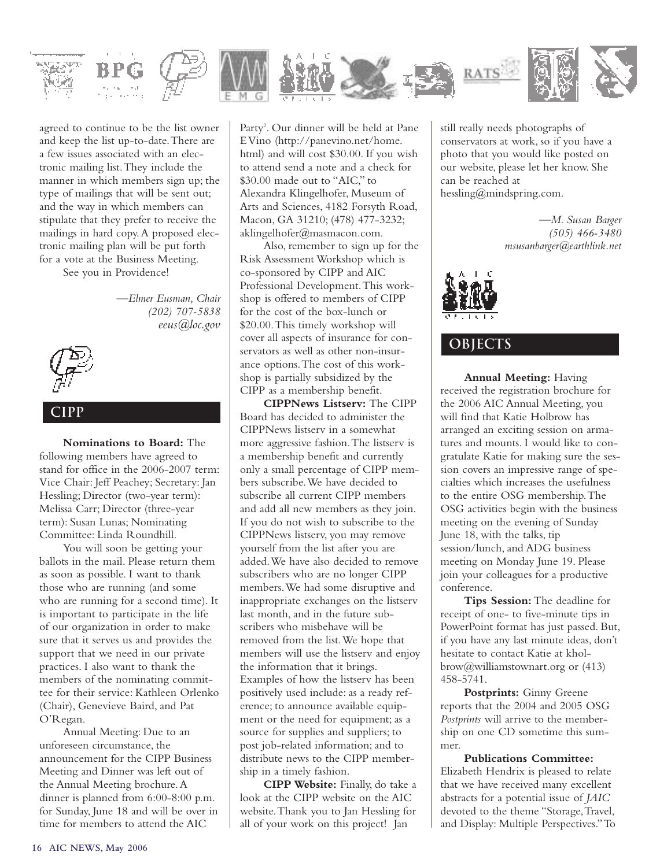

agreed to continue to be the list owner and keep the list up-to-date.There are a few issues associated with an electronic mailing list.They include the manner in which members sign up; the type of mailings that will be sent out; and the way in which members can stipulate that they prefer to receive the mailings in hard copy.A proposed electronic mailing plan will be put forth for a vote at the Business Meeting. See you in Providence!

> *—Elmer Eusman, Chair (202) 707-5838 eeus@loc.gov*



#### **cipp**

**Nominations to Board:** The following members have agreed to stand for office in the 2006-2007 term: Vice Chair: Jeff Peachey; Secretary: Jan Hessling; Director (two-year term): Melissa Carr; Director (three-year term): Susan Lunas; Nominating Committee: Linda Roundhill.

You will soon be getting your ballots in the mail. Please return them as soon as possible. I want to thank those who are running (and some who are running for a second time). It is important to participate in the life of our organization in order to make sure that it serves us and provides the support that we need in our private practices. I also want to thank the members of the nominating committee for their service: Kathleen Orlenko (Chair), Genevieve Baird, and Pat O'Regan.

Annual Meeting: Due to an unforeseen circumstance, the announcement for the CIPP Business Meeting and Dinner was left out of the Annual Meeting brochure.A dinner is planned from 6:00-8:00 p.m. for Sunday, June 18 and will be over in time for members to attend the AIC

Party<sup>2</sup>. Our dinner will be held at Pane EVino (http://panevino.net/home. html) and will cost \$30.00. If you wish to attend send a note and a check for \$30.00 made out to "AIC," to Alexandra Klingelhofer, Museum of Arts and Sciences, 4182 Forsyth Road, Macon, GA 31210; (478) 477-3232; aklingelhofer@masmacon.com.

Also, remember to sign up for the Risk Assessment Workshop which is co-sponsored by CIPP and AIC Professional Development.This workshop is offered to members of CIPP for the cost of the box-lunch or \$20.00.This timely workshop will cover all aspects of insurance for conservators as well as other non-insurance options.The cost of this workshop is partially subsidized by the CIPP as a membership benefit.

**CIPPNews Listserv:** The CIPP Board has decided to administer the CIPPNews listserv in a somewhat more aggressive fashion.The listserv is a membership benefit and currently only a small percentage of CIPP members subscribe.We have decided to subscribe all current CIPP members and add all new members as they join. If you do not wish to subscribe to the CIPPNews listserv, you may remove yourself from the list after you are added.We have also decided to remove subscribers who are no longer CIPP members.We had some disruptive and inappropriate exchanges on the listserv last month, and in the future subscribers who misbehave will be removed from the list.We hope that members will use the listserv and enjoy the information that it brings. Examples of how the listserv has been positively used include: as a ready reference; to announce available equipment or the need for equipment; as a source for supplies and suppliers; to post job-related information; and to distribute news to the CIPP membership in a timely fashion.

**CIPP Website:** Finally, do take a look at the CIPP website on the AIC website.Thank you to Jan Hessling for all of your work on this project! Jan

still really needs photographs of conservators at work, so if you have a photo that you would like posted on our website, please let her know. She can be reached at hessling@mindspring.com.

> *—M. Susan Barger (505) 466-3480 msusanbarger@earthlink.net*



#### **objects**

**Annual Meeting:** Having received the registration brochure for the 2006 AIC Annual Meeting, you will find that Katie Holbrow has arranged an exciting session on armatures and mounts. I would like to congratulate Katie for making sure the session covers an impressive range of specialties which increases the usefulness to the entire OSG membership.The OSG activities begin with the business meeting on the evening of Sunday June 18, with the talks, tip session/lunch, and ADG business meeting on Monday June 19. Please join your colleagues for a productive conference.

**Tips Session:** The deadline for receipt of one- to five-minute tips in PowerPoint format has just passed. But, if you have any last minute ideas, don't hesitate to contact Katie at kholbrow@williamstownart.org or (413) 458-5741.

**Postprints:** Ginny Greene reports that the 2004 and 2005 OSG *Postprints* will arrive to the membership on one CD sometime this summer.

**Publications Committee:** Elizabeth Hendrix is pleased to relate that we have received many excellent abstracts for a potential issue of *JAIC* devoted to the theme "Storage,Travel, and Display: Multiple Perspectives."To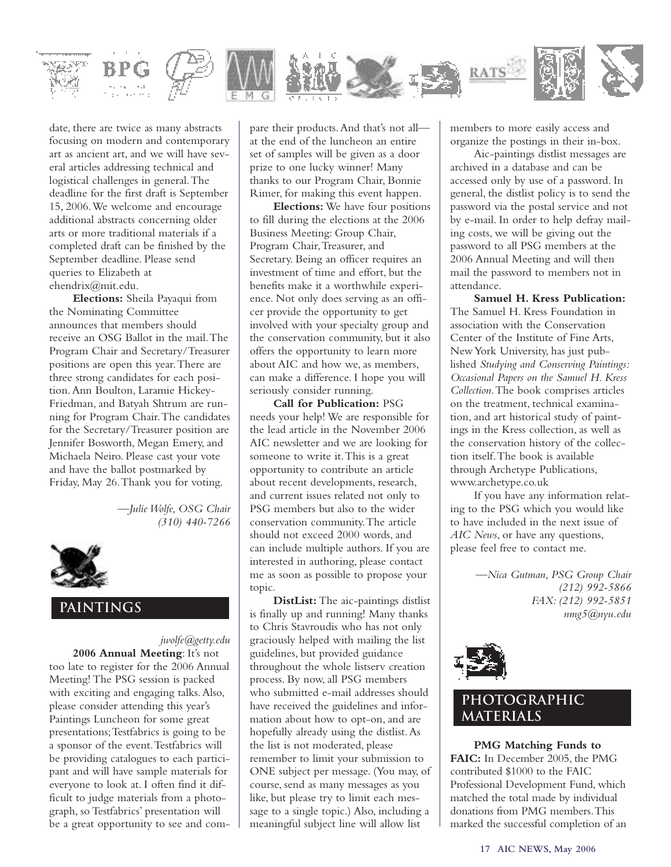

date, there are twice as many abstracts focusing on modern and contemporary art as ancient art, and we will have several articles addressing technical and logistical challenges in general.The deadline for the first draft is September 15, 2006.We welcome and encourage additional abstracts concerning older arts or more traditional materials if a completed draft can be finished by the September deadline. Please send queries to Elizabeth at ehendrix@mit.edu.

**Elections:** Sheila Payaqui from the Nominating Committee announces that members should receive an OSG Ballot in the mail.The Program Chair and Secretary/Treasurer positions are open this year.There are three strong candidates for each position.Ann Boulton, Laramie Hickey-Friedman, and Batyah Shtrum are running for Program Chair.The candidates for the Secretary/Treasurer position are Jennifer Bosworth, Megan Emery, and Michaela Neiro. Please cast your vote and have the ballot postmarked by Friday, May 26.Thank you for voting.

> *—Julie Wolfe, OSG Chair (310) 440-7266*



#### **paintings**

*jwolfe@getty.edu* **2006 Annual Meeting**: It's not too late to register for the 2006 Annual Meeting! The PSG session is packed with exciting and engaging talks.Also, please consider attending this year's Paintings Luncheon for some great presentations;Testfabrics is going to be a sponsor of the event.Testfabrics will be providing catalogues to each participant and will have sample materials for everyone to look at. I often find it difficult to judge materials from a photograph, so Testfabrics' presentation will be a great opportunity to see and com-

pare their products.And that's not all at the end of the luncheon an entire set of samples will be given as a door prize to one lucky winner! Many thanks to our Program Chair, Bonnie Rimer, for making this event happen.

**Elections:** We have four positions to fill during the elections at the 2006 Business Meeting: Group Chair, Program Chair, Treasurer, and Secretary. Being an officer requires an investment of time and effort, but the benefits make it a worthwhile experience. Not only does serving as an officer provide the opportunity to get involved with your specialty group and the conservation community, but it also offers the opportunity to learn more about AIC and how we, as members, can make a difference. I hope you will seriously consider running.

**Call for Publication:** PSG needs your help! We are responsible for the lead article in the November 2006 AIC newsletter and we are looking for someone to write it.This is a great opportunity to contribute an article about recent developments, research, and current issues related not only to PSG members but also to the wider conservation community.The article should not exceed 2000 words, and can include multiple authors. If you are interested in authoring, please contact me as soon as possible to propose your topic.

**DistList:** The aic-paintings distlist is finally up and running! Many thanks to Chris Stavroudis who has not only graciously helped with mailing the list guidelines, but provided guidance throughout the whole listserv creation process. By now, all PSG members who submitted e-mail addresses should have received the guidelines and information about how to opt-on, and are hopefully already using the distlist.As the list is not moderated, please remember to limit your submission to ONE subject per message. (You may, of course, send as many messages as you like, but please try to limit each message to a single topic.) Also, including a meaningful subject line will allow list

members to more easily access and organize the postings in their in-box.

Aic-paintings distlist messages are archived in a database and can be accessed only by use of a password. In general, the distlist policy is to send the password via the postal service and not by e-mail. In order to help defray mailing costs, we will be giving out the password to all PSG members at the 2006 Annual Meeting and will then mail the password to members not in attendance.

**Samuel H. Kress Publication:** The Samuel H. Kress Foundation in association with the Conservation Center of the Institute of Fine Arts, NewYork University, has just published *Studying and Conserving Paintings: Occasional Papers on the Samuel H. Kress Collection*.The book comprises articles on the treatment, technical examination, and art historical study of paintings in the Kress collection, as well as the conservation history of the collection itself.The book is available through Archetype Publications, www.archetype.co.uk

If you have any information relating to the PSG which you would like to have included in the next issue of *AIC News*, or have any questions, please feel free to contact me.

> *—Nica Gutman, PSG Group Chair (212) 992-5866 FAX: (212) 992-5851 nmg5@nyu.edu*



#### **photographic materials**

**PMG Matching Funds to FAIC:** In December 2005, the PMG contributed \$1000 to the FAIC Professional Development Fund, which matched the total made by individual donations from PMG members.This marked the successful completion of an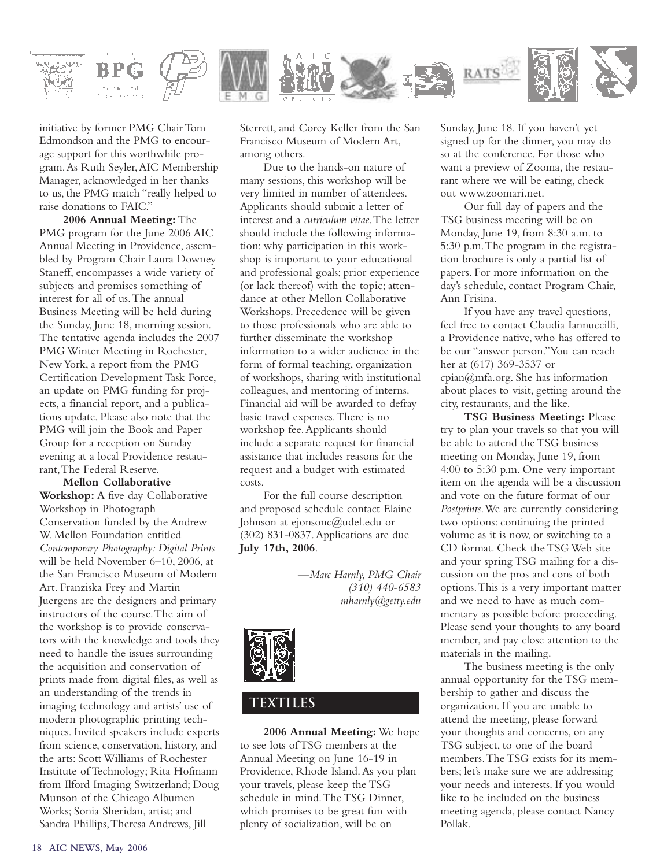

initiative by former PMG Chair Tom Edmondson and the PMG to encourage support for this worthwhile program.As Ruth Seyler,AIC Membership Manager, acknowledged in her thanks to us, the PMG match "really helped to raise donations to FAIC."

**2006 Annual Meeting:** The PMG program for the June 2006 AIC Annual Meeting in Providence, assembled by Program Chair Laura Downey Staneff, encompasses a wide variety of subjects and promises something of interest for all of us.The annual Business Meeting will be held during the Sunday, June 18, morning session. The tentative agenda includes the 2007 PMG Winter Meeting in Rochester, New York, a report from the PMG Certification Development Task Force, an update on PMG funding for projects, a financial report, and a publications update. Please also note that the PMG will join the Book and Paper Group for a reception on Sunday evening at a local Providence restaurant,The Federal Reserve.

**Mellon Collaborative Workshop:** A five day Collaborative Workshop in Photograph Conservation funded by the Andrew W. Mellon Foundation entitled *Contemporary Photography: Digital Prints* will be held November 6–10, 2006, at the San Francisco Museum of Modern Art. Franziska Frey and Martin Juergens are the designers and primary instructors of the course.The aim of the workshop is to provide conservators with the knowledge and tools they need to handle the issues surrounding the acquisition and conservation of prints made from digital files, as well as an understanding of the trends in imaging technology and artists' use of modern photographic printing techniques. Invited speakers include experts from science, conservation, history, and the arts: Scott Williams of Rochester Institute of Technology; Rita Hofmann from Ilford Imaging Switzerland; Doug Munson of the Chicago Albumen Works; Sonia Sheridan, artist; and Sandra Phillips,Theresa Andrews, Jill

Sterrett, and Corey Keller from the San Francisco Museum of Modern Art, among others.

Due to the hands-on nature of many sessions, this workshop will be very limited in number of attendees. Applicants should submit a letter of interest and a *curriculum vitae*.The letter should include the following information: why participation in this workshop is important to your educational and professional goals; prior experience (or lack thereof) with the topic; attendance at other Mellon Collaborative Workshops. Precedence will be given to those professionals who are able to further disseminate the workshop information to a wider audience in the form of formal teaching, organization of workshops, sharing with institutional colleagues, and mentoring of interns. Financial aid will be awarded to defray basic travel expenses.There is no workshop fee.Applicants should include a separate request for financial assistance that includes reasons for the request and a budget with estimated costs.

For the full course description and proposed schedule contact Elaine Johnson at ejonsonc@udel.edu or (302) 831-0837.Applications are due **July 17th, 2006**.

> *—Marc Harnly, PMG Chair (310) 440-6583 mharnly@getty.edu*



### **textiles**

**2006 Annual Meeting:** We hope to see lots of TSG members at the Annual Meeting on June 16-19 in Providence, Rhode Island.As you plan your travels, please keep the TSG schedule in mind.The TSG Dinner, which promises to be great fun with plenty of socialization, will be on

Sunday, June 18. If you haven't yet signed up for the dinner, you may do so at the conference. For those who want a preview of Zooma, the restaurant where we will be eating, check out www.zoomari.net.

Our full day of papers and the TSG business meeting will be on Monday, June 19, from 8:30 a.m. to 5:30 p.m.The program in the registration brochure is only a partial list of papers. For more information on the day's schedule, contact Program Chair, Ann Frisina.

If you have any travel questions, feel free to contact Claudia Iannuccilli, a Providence native, who has offered to be our "answer person."You can reach her at (617) 369-3537 or cpian@mfa.org. She has information about places to visit, getting around the city, restaurants, and the like.

**TSG Business Meeting:** Please try to plan your travels so that you will be able to attend the TSG business meeting on Monday, June 19, from 4:00 to 5:30 p.m. One very important item on the agenda will be a discussion and vote on the future format of our *Postprints*.We are currently considering two options: continuing the printed volume as it is now, or switching to a CD format. Check the TSG Web site and your spring TSG mailing for a discussion on the pros and cons of both options.This is a very important matter and we need to have as much commentary as possible before proceeding. Please send your thoughts to any board member, and pay close attention to the materials in the mailing.

The business meeting is the only annual opportunity for the TSG membership to gather and discuss the organization. If you are unable to attend the meeting, please forward your thoughts and concerns, on any TSG subject, to one of the board members.The TSG exists for its members; let's make sure we are addressing your needs and interests. If you would like to be included on the business meeting agenda, please contact Nancy Pollak.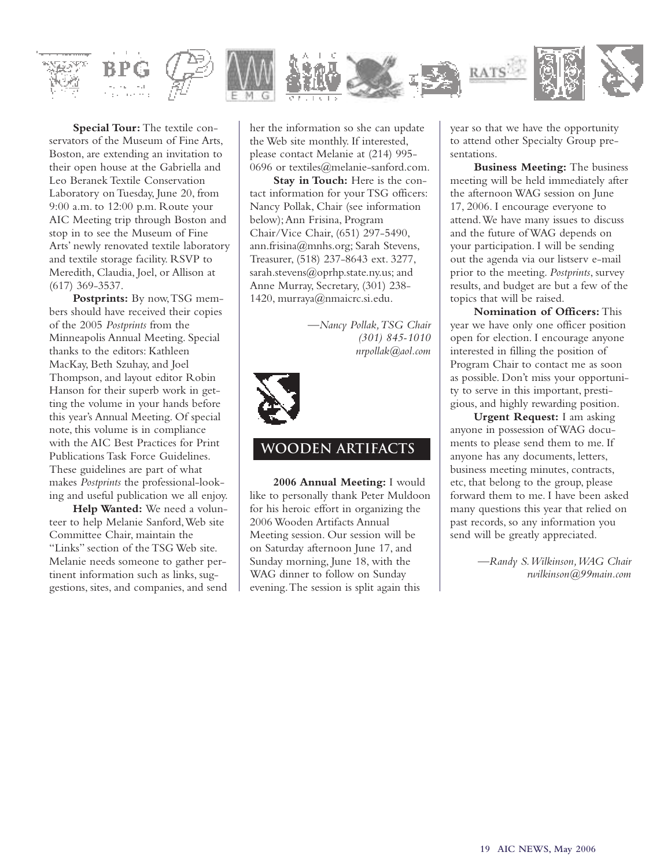

**Special Tour:** The textile conservators of the Museum of Fine Arts, Boston, are extending an invitation to their open house at the Gabriella and Leo Beranek Textile Conservation Laboratory on Tuesday, June 20, from 9:00 a.m. to 12:00 p.m. Route your AIC Meeting trip through Boston and stop in to see the Museum of Fine Arts' newly renovated textile laboratory and textile storage facility. RSVP to Meredith, Claudia, Joel, or Allison at (617) 369-3537.

**Postprints:** By now,TSG members should have received their copies of the 2005 *Postprints* from the Minneapolis Annual Meeting. Special thanks to the editors: Kathleen MacKay, Beth Szuhay, and Joel Thompson, and layout editor Robin Hanson for their superb work in getting the volume in your hands before this year's Annual Meeting. Of special note, this volume is in compliance with the AIC Best Practices for Print Publications Task Force Guidelines. These guidelines are part of what makes *Postprints* the professional-looking and useful publication we all enjoy.

**Help Wanted:** We need a volunteer to help Melanie Sanford,Web site Committee Chair, maintain the "Links" section of the TSG Web site. Melanie needs someone to gather pertinent information such as links, suggestions, sites, and companies, and send

her the information so she can update the Web site monthly. If interested, please contact Melanie at (214) 995- 0696 or textiles@melanie-sanford.com.

**Stay in Touch:** Here is the contact information for your TSG officers: Nancy Pollak, Chair (see information below);Ann Frisina, Program Chair/Vice Chair, (651) 297-5490, ann.frisina@mnhs.org; Sarah Stevens, Treasurer, (518) 237-8643 ext. 3277, sarah.stevens@oprhp.state.ny.us; and Anne Murray, Secretary, (301) 238- 1420, murraya@nmaicrc.si.edu.

> *—Nancy Pollak,TSG Chair (301) 845-1010 nrpollak@aol.com*



#### **wooden artifacts**

**2006 Annual Meeting:** I would like to personally thank Peter Muldoon for his heroic effort in organizing the 2006 Wooden Artifacts Annual Meeting session. Our session will be on Saturday afternoon June 17, and Sunday morning, June 18, with the WAG dinner to follow on Sunday evening.The session is split again this

year so that we have the opportunity to attend other Specialty Group presentations.

**Business Meeting:** The business meeting will be held immediately after the afternoon WAG session on June 17, 2006. I encourage everyone to attend.We have many issues to discuss and the future of WAG depends on your participation. I will be sending out the agenda via our listserv e-mail prior to the meeting. *Postprints*, survey results, and budget are but a few of the topics that will be raised.

**Nomination of Officers:** This year we have only one officer position open for election. I encourage anyone interested in filling the position of Program Chair to contact me as soon as possible. Don't miss your opportunity to serve in this important, prestigious, and highly rewarding position.

**Urgent Request:** I am asking anyone in possession of WAG documents to please send them to me. If anyone has any documents, letters, business meeting minutes, contracts, etc, that belong to the group, please forward them to me. I have been asked many questions this year that relied on past records, so any information you send will be greatly appreciated.

> *—Randy S.Wilkinson,WAG Chair rwilkinson@99main.com*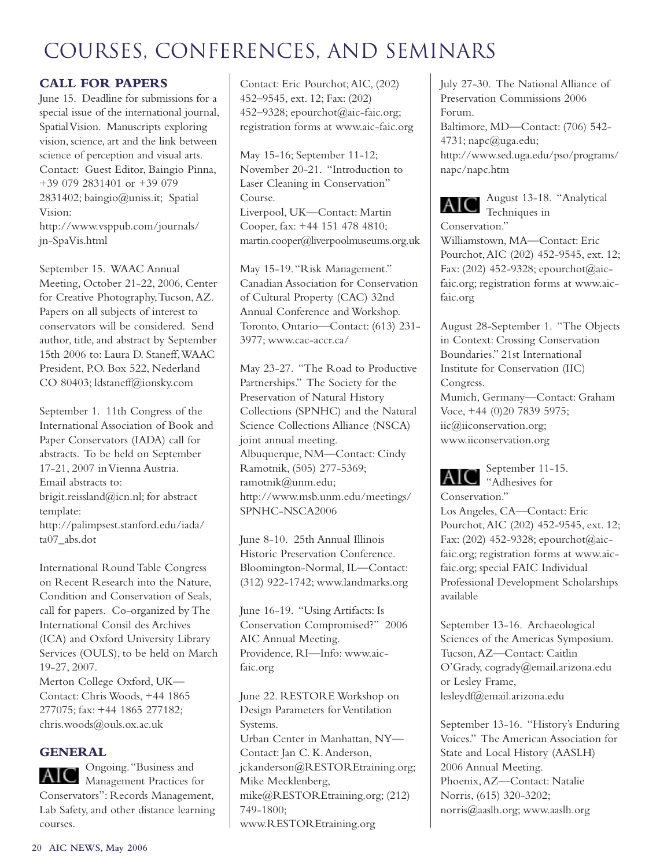#### **CALL FOR PAPERS**

June 15. Deadline for submissions for a special issue of the international journal, Spatial Vision. Manuscripts exploring vision, science, art and the link between science of perception and visual arts. Contact: Guest Editor, Baingio Pinna, +39 079 2831401 or +39 079 2831402; baingio@uniss.it; Spatial Vision: http://www.vsppub.com/journals/ jn-SpaVis.html

September 15. WAAC Annual Meeting, October 21-22, 2006, Center for Creative Photography,Tucson,AZ. Papers on all subjects of interest to conservators will be considered. Send author, title, and abstract by September 15th 2006 to: Laura D. Staneff,WAAC President, P.O. Box 522, Nederland CO 80403; ldstaneff@ionsky.com

September 1. 11th Congress of the International Association of Book and Paper Conservators (IADA) call for abstracts. To be held on September 17-21, 2007 in Vienna Austria. Email abstracts to: brigit.reissland@icn.nl; for abstract template: http://palimpsest.stanford.edu/iada/ ta07\_abs.dot

International Round Table Congress on Recent Research into the Nature, Condition and Conservation of Seals, call for papers. Co-organized by The International Consil des Archives (ICA) and Oxford University Library Services (OULS), to be held on March 19-27, 2007.

Merton College Oxford, UK— Contact: Chris Woods, +44 1865 277075; fax: +44 1865 277182; chris.woods@ouls.ox.ac.uk

#### **GENERAL**

Ongoing."Business and Management Practices for Conservators": Records Management, Lab Safety, and other distance learning courses.

Contact: Eric Pourchot;AIC, (202) 452–9545, ext. 12; Fax: (202) 452–9328; epourchot@aic-faic.org; registration forms at www.aic-faic.org

May 15-16; September 11-12; November 20-21. "Introduction to Laser Cleaning in Conservation" Course. Liverpool, UK—Contact: Martin Cooper, fax: +44 151 478 4810; martin.cooper@liverpoolmuseums.org.uk

May 15-19."Risk Management." Canadian Association for Conservation of Cultural Property (CAC) 32nd Annual Conference and Workshop. Toronto, Ontario—Contact: (613) 231- 3977; www.cac-accr.ca/

May 23-27. "The Road to Productive Partnerships." The Society for the Preservation of Natural History Collections (SPNHC) and the Natural Science Collections Alliance (NSCA) joint annual meeting. Albuquerque, NM—Contact: Cindy Ramotnik, (505) 277-5369; ramotnik@unm.edu; http://www.msb.unm.edu/meetings/ SPNHC-NSCA2006

June 8-10. 25th Annual Illinois Historic Preservation Conference. Bloomington-Normal, IL—Contact: (312) 922-1742; www.landmarks.org

June 16-19. "Using Artifacts: Is Conservation Compromised?" 2006 AIC Annual Meeting. Providence, RI—Info: www.aicfaic.org

June 22. RESTORE Workshop on Design Parameters for Ventilation Systems. Urban Center in Manhattan, NY— Contact: Jan C. K.Anderson, jckanderson@RESTOREtraining.org; Mike Mecklenberg, mike@RESTOREtraining.org; (212) 749-1800; www.RESTOREtraining.org

July 27-30. The National Alliance of Preservation Commissions 2006 Forum. Baltimore, MD—Contact: (706) 542-  $4731$ ; napc $@$ uga.edu; http://www.sed.uga.edu/pso/programs/ napc/napc.htm

August 13-18. "Analytical AIC. Techniques in Conservation." Williamstown, MA—Contact: Eric Pourchot,AIC (202) 452-9545, ext. 12; Fax: (202) 452-9328; epourchot@aicfaic.org; registration forms at www.aicfaic.org

August 28-September 1. "The Objects in Context: Crossing Conservation Boundaries." 21st International Institute for Conservation (IIC) Congress. Munich, Germany—Contact: Graham Voce, +44 (0)20 7839 5975; iic@iiconservation.org; www.iiconservation.org

September 11-15. AIC "Adhesives for

Conservation." Los Angeles, CA—Contact: Eric Pourchot,AIC (202) 452-9545, ext. 12; Fax: (202) 452-9328; epourchot@aicfaic.org; registration forms at www.aicfaic.org; special FAIC Individual Professional Development Scholarships available

September 13-16. Archaeological Sciences of the Americas Symposium. Tucson,AZ—Contact: Caitlin O'Grady, cogrady@email.arizona.edu or Lesley Frame, lesleydf@email.arizona.edu

September 13-16. "History's Enduring Voices." The American Association for State and Local History (AASLH) 2006 Annual Meeting. Phoenix,AZ—Contact: Natalie Norris, (615) 320-3202; norris@aaslh.org; www.aaslh.org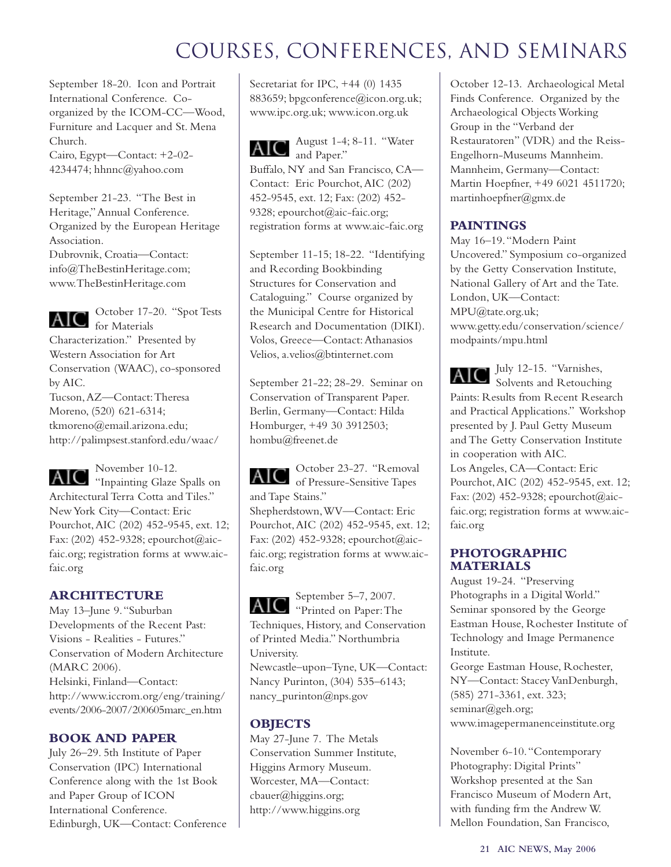September 18-20. Icon and Portrait International Conference. Coorganized by the ICOM-CC—Wood, Furniture and Lacquer and St. Mena Church. Cairo, Egypt—Contact: +2-02- 4234474; hhnnc@yahoo.com

September 21-23. "The Best in Heritage,"Annual Conference. Organized by the European Heritage Association. Dubrovnik, Croatia—Contact: info@TheBestinHeritage.com; www.TheBestinHeritage.com

AIC

October 17-20. "Spot Tests for Materials

Characterization." Presented by Western Association for Art Conservation (WAAC), co-sponsored by AIC. Tucson,AZ—Contact:Theresa Moreno, (520) 621-6314; tkmoreno@email.arizona.edu; http://palimpsest.stanford.edu/waac/

November 10-12. AIC "Inpainting Glaze Spalls on Architectural Terra Cotta and Tiles." New York City—Contact: Eric Pourchot,AIC (202) 452-9545, ext. 12; Fax: (202) 452-9328; epourchot@aicfaic.org; registration forms at www.aicfaic.org

#### **ARCHITECTURE**

May 13–June 9."Suburban Developments of the Recent Past: Visions - Realities - Futures." Conservation of Modern Architecture (MARC 2006). Helsinki, Finland—Contact: http://www.iccrom.org/eng/training/ events/2006-2007/200605marc\_en.htm

#### **BOOK AND PAPER**

July 26–29. 5th Institute of Paper Conservation (IPC) International Conference along with the 1st Book and Paper Group of ICON International Conference. Edinburgh, UK––Contact: Conference Secretariat for IPC, +44 (0) 1435 883659; bpgconference@icon.org.uk; www.ipc.org.uk; www.icon.org.uk

August 1-4; 8-11. "Water AIC and Paper."

Buffalo, NY and San Francisco, CA— Contact: Eric Pourchot,AIC (202) 452-9545, ext. 12; Fax: (202) 452- 9328; epourchot@aic-faic.org; registration forms at www.aic-faic.org

September 11-15; 18-22. "Identifying and Recording Bookbinding Structures for Conservation and Cataloguing." Course organized by the Municipal Centre for Historical Research and Documentation (DIKI). Volos, Greece—Contact:Athanasios Velios, a.velios@btinternet.com

September 21-22; 28-29. Seminar on Conservation of Transparent Paper. Berlin, Germany—Contact: Hilda Homburger, +49 30 3912503; hombu@freenet.de

October 23-27. "Removal AIC of Pressure-Sensitive Tapes and Tape Stains."

Shepherdstown,WV—Contact: Eric Pourchot,AIC (202) 452-9545, ext. 12; Fax: (202) 452-9328; epourchot@aicfaic.org; registration forms at www.aicfaic.org

September 5–7, 2007. AIC "Printed on Paper: The Techniques, History, and Conservation

of Printed Media." Northumbria University.

Newcastle–upon–Tyne, UK—Contact: Nancy Purinton, (304) 535–6143; nancy\_purinton@nps.gov

#### **OBJECTS**

May 27-June 7. The Metals Conservation Summer Institute, Higgins Armory Museum. Worcester, MA—Contact: cbauer@higgins.org; http://www.higgins.org

October 12-13. Archaeological Metal Finds Conference. Organized by the Archaeological Objects Working Group in the "Verband der Restauratoren" (VDR) and the Reiss-Engelhorn-Museums Mannheim. Mannheim, Germany—Contact: Martin Hoepfner, +49 6021 4511720; martinhoepfner@gmx.de

#### **PAINTINGS**

May 16–19."Modern Paint Uncovered." Symposium co-organized by the Getty Conservation Institute, National Gallery of Art and the Tate. London, UK––Contact: MPU@tate.org.uk; www.getty.edu/conservation/science/ modpaints/mpu.html

July 12-15. "Varnishes, AK Solvents and Retouching Paints: Results from Recent Research and Practical Applications." Workshop presented by J. Paul Getty Museum and The Getty Conservation Institute in cooperation with AIC.

Los Angeles, CA—Contact: Eric Pourchot,AIC (202) 452-9545, ext. 12; Fax: (202) 452-9328; epourchot@aicfaic.org; registration forms at www.aicfaic.org

#### **PHOTOGRAPHIC MATERIALS**

August 19-24. "Preserving Photographs in a Digital World." Seminar sponsored by the George Eastman House, Rochester Institute of Technology and Image Permanence Institute.

George Eastman House, Rochester, NY—Contact: Stacey VanDenburgh, (585) 271-3361, ext. 323; seminar@geh.org; www.imagepermanenceinstitute.org

November 6-10."Contemporary Photography: Digital Prints" Workshop presented at the San Francisco Museum of Modern Art, with funding frm the Andrew W. Mellon Foundation, San Francisco,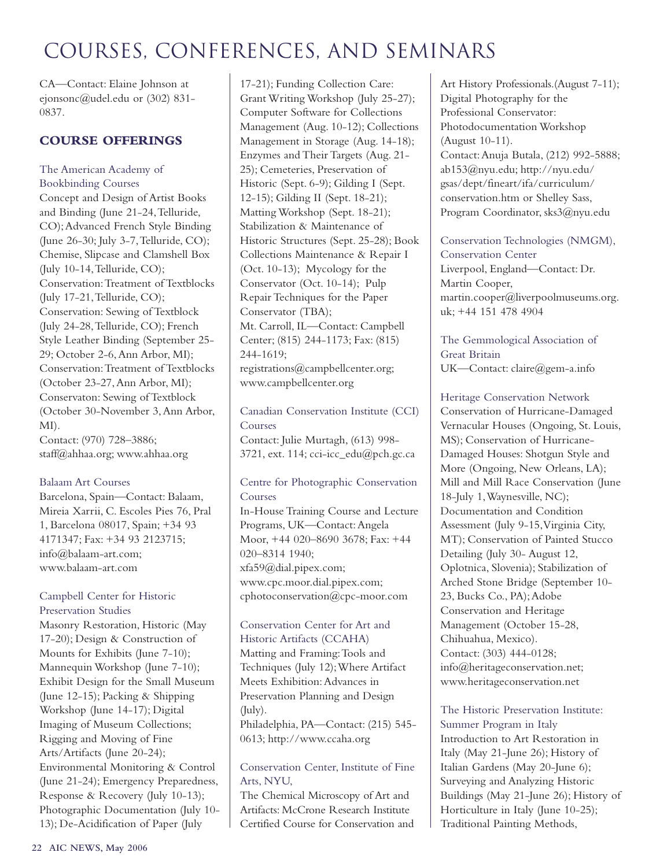CA—Contact: Elaine Johnson at ejonsonc@udel.edu or (302) 831- 0837.

#### **COURSE OFFERINGS**

#### The American Academy of Bookbinding Courses

Concept and Design of Artist Books and Binding (June 21-24,Telluride, CO);Advanced French Style Binding (June 26-30; July 3-7, Telluride, CO); Chemise, Slipcase and Clamshell Box (July 10-14,Telluride, CO); Conservation:Treatment of Textblocks (July 17-21,Telluride, CO); Conservation: Sewing of Textblock (July 24-28,Telluride, CO); French Style Leather Binding (September 25- 29; October 2-6,Ann Arbor, MI); Conservation:Treatment of Textblocks (October 23-27,Ann Arbor, MI); Conservaton: Sewing of Textblock (October 30-November 3,Ann Arbor, MI).

Contact: (970) 728–3886; staff@ahhaa.org; www.ahhaa.org

#### Balaam Art Courses

Barcelona, Spain—Contact: Balaam, Mireia Xarrii, C. Escoles Pies 76, Pral 1, Barcelona 08017, Spain; +34 93 4171347; Fax: +34 93 2123715; info@balaam-art.com; www.balaam-art.com

#### Campbell Center for Historic Preservation Studies

Masonry Restoration, Historic (May 17-20); Design & Construction of Mounts for Exhibits (June 7-10); Mannequin Workshop (June 7-10); Exhibit Design for the Small Museum (June 12-15); Packing & Shipping Workshop (June 14-17); Digital Imaging of Museum Collections; Rigging and Moving of Fine Arts/Artifacts (June 20-24); Environmental Monitoring & Control (June 21-24); Emergency Preparedness, Response & Recovery (July 10-13); Photographic Documentation (July 10- 13); De-Acidification of Paper (July

17-21); Funding Collection Care: Grant Writing Workshop (July 25-27); Computer Software for Collections Management (Aug. 10-12); Collections Management in Storage (Aug. 14-18); Enzymes and Their Targets (Aug. 21- 25); Cemeteries, Preservation of Historic (Sept. 6-9); Gilding I (Sept. 12-15); Gilding II (Sept. 18-21); Matting Workshop (Sept. 18-21); Stabilization & Maintenance of Historic Structures (Sept. 25-28); Book Collections Maintenance & Repair I (Oct. 10-13); Mycology for the Conservator (Oct. 10-14); Pulp Repair Techniques for the Paper Conservator (TBA); Mt. Carroll, IL—Contact: Campbell Center; (815) 244-1173; Fax: (815) 244-1619; registrations@campbellcenter.org; www.campbellcenter.org

Canadian Conservation Institute (CCI) Courses Contact: Julie Murtagh, (613) 998- 3721, ext. 114; cci-icc\_edu@pch.gc.ca

#### Centre for Photographic Conservation Courses

In-House Training Course and Lecture Programs, UK—Contact:Angela Moor, +44 020–8690 3678; Fax: +44 020–8314 1940; xfa59@dial.pipex.com; www.cpc.moor.dial.pipex.com; cphotoconservation@cpc-moor.com

#### Conservation Center for Art and Historic Artifacts (CCAHA)

Matting and Framing:Tools and Techniques (July 12);Where Artifact Meets Exhibition:Advances in Preservation Planning and Design (July). Philadelphia, PA—Contact: (215) 545- 0613; http://www.ccaha.org

#### Conservation Center, Institute of Fine Arts, NYU,

The Chemical Microscopy of Art and Artifacts: McCrone Research Institute Certified Course for Conservation and

Art History Professionals.(August 7-11); Digital Photography for the Professional Conservator: Photodocumentation Workshop (August 10-11). Contact:Anuja Butala, (212) 992-5888; ab153@nyu.edu; http://nyu.edu/ gsas/dept/fineart/ifa/curriculum/ conservation.htm or Shelley Sass, Program Coordinator, sks3@nyu.edu

Conservation Technologies (NMGM), Conservation Center Liverpool, England—Contact: Dr. Martin Cooper, martin.cooper@liverpoolmuseums.org. uk; +44 151 478 4904

The Gemmological Association of Great Britain UK—Contact: claire@gem-a.info

Heritage Conservation Network Conservation of Hurricane-Damaged Vernacular Houses (Ongoing, St. Louis, MS); Conservation of Hurricane-Damaged Houses: Shotgun Style and More (Ongoing, New Orleans, LA); Mill and Mill Race Conservation (June 18-July 1,Waynesville, NC); Documentation and Condition Assessment (July 9-15,Virginia City, MT); Conservation of Painted Stucco Detailing (July 30- August 12, Oplotnica, Slovenia); Stabilization of Arched Stone Bridge (September 10- 23, Bucks Co., PA); Adobe Conservation and Heritage Management (October 15-28, Chihuahua, Mexico). Contact: (303) 444-0128; info@heritageconservation.net; www.heritageconservation.net

#### The Historic Preservation Institute: Summer Program in Italy

Introduction to Art Restoration in Italy (May 21-June 26); History of Italian Gardens (May 20-June 6); Surveying and Analyzing Historic Buildings (May 21-June 26); History of Horticulture in Italy (June 10-25); Traditional Painting Methods,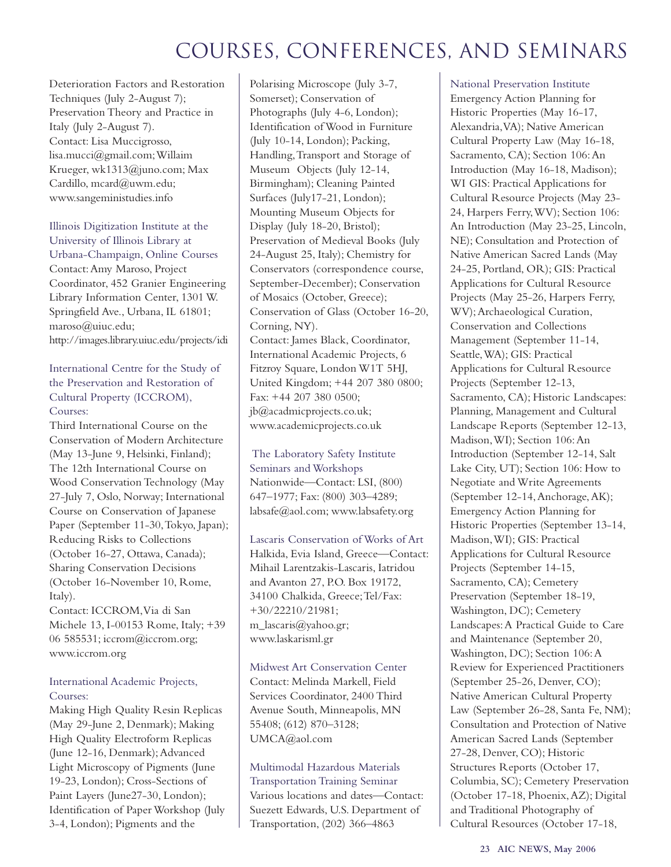Deterioration Factors and Restoration Techniques (July 2-August 7); Preservation Theory and Practice in Italy (July 2-August 7). Contact: Lisa Muccigrosso, lisa.mucci@gmail.com;Willaim Krueger, wk1313@juno.com; Max Cardillo, mcard@uwm.edu; www.sangeministudies.info

Illinois Digitization Institute at the University of Illinois Library at Urbana-Champaign, Online Courses Contact:Amy Maroso, Project Coordinator, 452 Granier Engineering Library Information Center, 1301 W. Springfield Ave., Urbana, IL 61801; maroso@uiuc.edu; http://images.library.uiuc.edu/projects/idi

International Centre for the Study of the Preservation and Restoration of Cultural Property (ICCROM), Courses:

Third International Course on the Conservation of Modern Architecture (May 13-June 9, Helsinki, Finland); The 12th International Course on Wood Conservation Technology (May 27-July 7, Oslo, Norway; International Course on Conservation of Japanese Paper (September 11-30, Tokyo, Japan); Reducing Risks to Collections (October 16-27, Ottawa, Canada); Sharing Conservation Decisions (October 16-November 10, Rome, Italy).

Contact: ICCROM,Via di San Michele 13, I-00153 Rome, Italy; +39 06 585531; iccrom@iccrom.org; www.iccrom.org

#### International Academic Projects, Courses:

Making High Quality Resin Replicas (May 29-June 2, Denmark); Making High Quality Electroform Replicas (June 12-16, Denmark); Advanced Light Microscopy of Pigments (June 19-23, London); Cross-Sections of Paint Layers (June27-30, London); Identification of Paper Workshop (July 3-4, London); Pigments and the

Polarising Microscope (July 3-7, Somerset); Conservation of Photographs (July 4-6, London); Identification of Wood in Furniture (July 10-14, London); Packing, Handling,Transport and Storage of Museum Objects (July 12-14, Birmingham); Cleaning Painted Surfaces (July17-21, London); Mounting Museum Objects for Display (July 18-20, Bristol); Preservation of Medieval Books (July 24-August 25, Italy); Chemistry for Conservators (correspondence course, September-December); Conservation of Mosaics (October, Greece); Conservation of Glass (October 16-20, Corning, NY). Contact: James Black, Coordinator, International Academic Projects, 6 Fitzroy Square, London W1T 5HJ, United Kingdom; +44 207 380 0800; Fax: +44 207 380 0500; jb@acadmicprojects.co.uk; www.academicprojects.co.uk

The Laboratory Safety Institute Seminars and Workshops Nationwide—Contact: LSI, (800) 647–1977; Fax: (800) 303–4289; labsafe@aol.com; www.labsafety.org

Lascaris Conservation of Works of Art Halkida, Evia Island, Greece—Contact: Mihail Larentzakis-Lascaris, Iatridou and Avanton 27, P.O. Box 19172, 34100 Chalkida, Greece;Tel/Fax: +30/22210/21981; m\_lascaris@yahoo.gr; www.laskarisml.gr

Midwest Art Conservation Center Contact: Melinda Markell, Field Services Coordinator, 2400 Third Avenue South, Minneapolis, MN 55408; (612) 870–3128; UMCA@aol.com

Multimodal Hazardous Materials Transportation Training Seminar Various locations and dates—Contact: Suezett Edwards, U.S. Department of Transportation, (202) 366–4863

National Preservation Institute Emergency Action Planning for Historic Properties (May 16-17, Alexandria,VA); Native American Cultural Property Law (May 16-18, Sacramento, CA); Section 106:An Introduction (May 16-18, Madison); WI GIS: Practical Applications for Cultural Resource Projects (May 23- 24, Harpers Ferry,WV); Section 106: An Introduction (May 23-25, Lincoln, NE); Consultation and Protection of Native American Sacred Lands (May 24-25, Portland, OR); GIS: Practical Applications for Cultural Resource Projects (May 25-26, Harpers Ferry, WV);Archaeological Curation, Conservation and Collections Management (September 11-14, Seattle,WA); GIS: Practical Applications for Cultural Resource Projects (September 12-13, Sacramento, CA); Historic Landscapes: Planning, Management and Cultural Landscape Reports (September 12-13, Madison,WI); Section 106:An Introduction (September 12-14, Salt Lake City, UT); Section 106: How to Negotiate and Write Agreements (September 12-14,Anchorage,AK); Emergency Action Planning for Historic Properties (September 13-14, Madison,WI); GIS: Practical Applications for Cultural Resource Projects (September 14-15, Sacramento, CA); Cemetery Preservation (September 18-19, Washington, DC); Cemetery Landscapes:A Practical Guide to Care and Maintenance (September 20, Washington, DC); Section 106:A Review for Experienced Practitioners (September 25-26, Denver, CO); Native American Cultural Property Law (September 26-28, Santa Fe, NM); Consultation and Protection of Native American Sacred Lands (September 27-28, Denver, CO); Historic Structures Reports (October 17, Columbia, SC); Cemetery Preservation (October 17-18, Phoenix,AZ); Digital and Traditional Photography of Cultural Resources (October 17-18,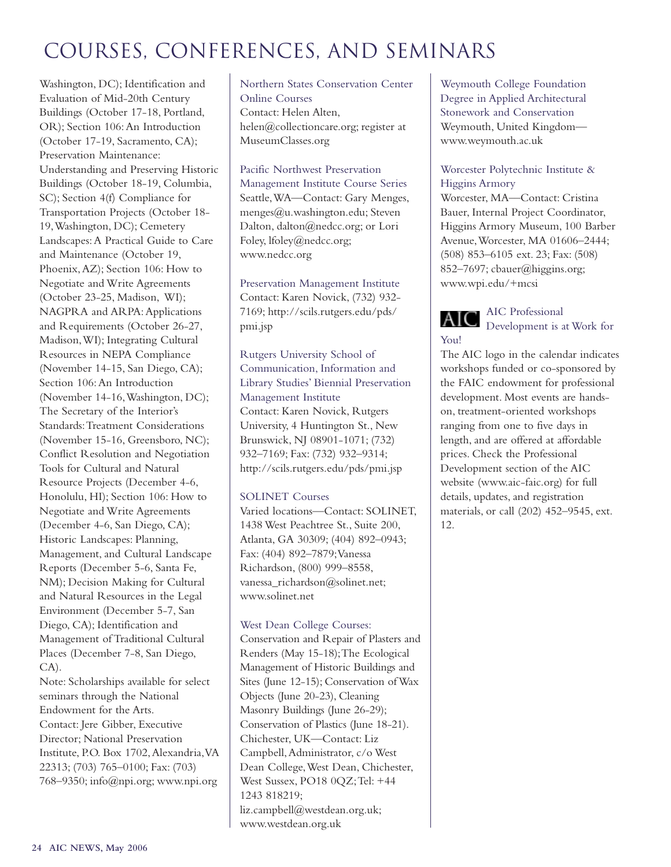Washington, DC); Identification and Evaluation of Mid-20th Century Buildings (October 17-18, Portland, OR); Section 106:An Introduction (October 17-19, Sacramento, CA); Preservation Maintenance: Understanding and Preserving Historic Buildings (October 18-19, Columbia, SC); Section 4(f) Compliance for Transportation Projects (October 18- 19,Washington, DC); Cemetery Landscapes:A Practical Guide to Care and Maintenance (October 19, Phoenix,AZ); Section 106: How to Negotiate and Write Agreements (October 23-25, Madison, WI); NAGPRA and ARPA: Applications and Requirements (October 26-27, Madison,WI); Integrating Cultural Resources in NEPA Compliance (November 14-15, San Diego, CA); Section 106:An Introduction (November 14-16,Washington, DC); The Secretary of the Interior's Standards:Treatment Considerations (November 15-16, Greensboro, NC); Conflict Resolution and Negotiation Tools for Cultural and Natural Resource Projects (December 4-6, Honolulu, HI); Section 106: How to Negotiate and Write Agreements (December 4-6, San Diego, CA); Historic Landscapes: Planning, Management, and Cultural Landscape Reports (December 5-6, Santa Fe, NM); Decision Making for Cultural and Natural Resources in the Legal Environment (December 5-7, San Diego, CA); Identification and Management of Traditional Cultural Places (December 7-8, San Diego, CA).

Note: Scholarships available for select seminars through the National Endowment for the Arts. Contact: Jere Gibber, Executive Director; National Preservation Institute, P.O. Box 1702,Alexandria,VA 22313; (703) 765–0100; Fax: (703) 768–9350; info@npi.org; www.npi.org

Northern States Conservation Center Online Courses Contact: Helen Alten, helen@collectioncare.org; register at MuseumClasses.org

Pacific Northwest Preservation Management Institute Course Series Seattle,WA––Contact: Gary Menges, menges@u.washington.edu; Steven Dalton, dalton@nedcc.org; or Lori Foley, lfoley@nedcc.org; www.nedcc.org

Preservation Management Institute Contact: Karen Novick, (732) 932- 7169; http://scils.rutgers.edu/pds/ pmi.jsp

Rutgers University School of Communication, Information and Library Studies' Biennial Preservation Management Institute Contact: Karen Novick, Rutgers University, 4 Huntington St., New Brunswick, NJ 08901-1071; (732) 932–7169; Fax: (732) 932–9314; http://scils.rutgers.edu/pds/pmi.jsp

#### SOLINET Courses

Varied locations—Contact: SOLINET, 1438 West Peachtree St., Suite 200, Atlanta, GA 30309; (404) 892–0943; Fax: (404) 892–7879;Vanessa Richardson, (800) 999–8558, vanessa\_richardson@solinet.net; www.solinet.net

#### West Dean College Courses:

Conservation and Repair of Plasters and Renders (May 15-18);The Ecological Management of Historic Buildings and Sites (June 12-15); Conservation of Wax Objects (June 20-23), Cleaning Masonry Buildings (June 26-29); Conservation of Plastics (June 18-21). Chichester, UK—Contact: Liz Campbell,Administrator, c/o West Dean College,West Dean, Chichester, West Sussex, PO18 0QZ;Tel: +44 1243 818219; liz.campbell@westdean.org.uk; www.westdean.org.uk

Weymouth College Foundation Degree in Applied Architectural Stonework and Conservation Weymouth, United Kingdom www.weymouth.ac.uk

#### Worcester Polytechnic Institute & Higgins Armory

Worcester, MA––Contact: Cristina Bauer, Internal Project Coordinator, Higgins Armory Museum, 100 Barber Avenue,Worcester, MA 01606–2444; (508) 853–6105 ext. 23; Fax: (508) 852–7697; cbauer@higgins.org; www.wpi.edu/+mcsi

AIC Professional AIC Development is at Work for You!

The AIC logo in the calendar indicates workshops funded or co-sponsored by the FAIC endowment for professional development. Most events are handson, treatment-oriented workshops ranging from one to five days in length, and are offered at affordable prices. Check the Professional Development section of the AIC website (www.aic-faic.org) for full details, updates, and registration materials, or call (202) 452–9545, ext. 12.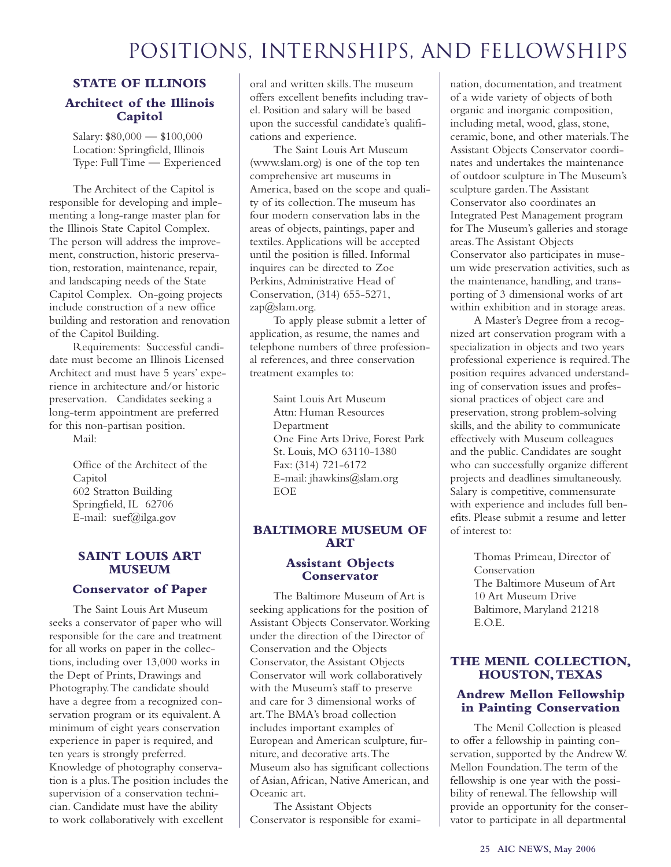### Positions, Internships, and fellowships

#### **STATE OF ILLINOIS Architect of the Illinois Capitol**

Salary: \$80,000 — \$100,000 Location: Springfield, Illinois Type: Full Time — Experienced

The Architect of the Capitol is responsible for developing and implementing a long-range master plan for the Illinois State Capitol Complex. The person will address the improvement, construction, historic preservation, restoration, maintenance, repair, and landscaping needs of the State Capitol Complex. On-going projects include construction of a new office building and restoration and renovation of the Capitol Building.

Requirements: Successful candidate must become an Illinois Licensed Architect and must have 5 years' experience in architecture and/or historic preservation. Candidates seeking a long-term appointment are preferred for this non-partisan position.

Mail:

Office of the Architect of the Capitol 602 Stratton Building Springfield, IL 62706 E-mail: suef@ilga.gov

#### **SAINT LOUIS ART MUSEUM**

#### **Conservator of Paper**

The Saint Louis Art Museum seeks a conservator of paper who will responsible for the care and treatment for all works on paper in the collections, including over 13,000 works in the Dept of Prints, Drawings and Photography.The candidate should have a degree from a recognized conservation program or its equivalent.A minimum of eight years conservation experience in paper is required, and ten years is strongly preferred. Knowledge of photography conservation is a plus.The position includes the supervision of a conservation technician. Candidate must have the ability to work collaboratively with excellent

oral and written skills.The museum offers excellent benefits including travel. Position and salary will be based upon the successful candidate's qualifications and experience.

The Saint Louis Art Museum (www.slam.org) is one of the top ten comprehensive art museums in America, based on the scope and quality of its collection.The museum has four modern conservation labs in the areas of objects, paintings, paper and textiles.Applications will be accepted until the position is filled. Informal inquires can be directed to Zoe Perkins, Administrative Head of Conservation, (314) 655-5271, zap@slam.org.

To apply please submit a letter of application, as resume, the names and telephone numbers of three professional references, and three conservation treatment examples to:

> Saint Louis Art Museum Attn: Human Resources Department One Fine Arts Drive, Forest Park St. Louis, MO 63110-1380 Fax: (314) 721-6172 E-mail: jhawkins@slam.org EOE

#### **BALTIMORE MUSEUM OF ART**

#### **Assistant Objects Conservator**

The Baltimore Museum of Art is seeking applications for the position of Assistant Objects Conservator.Working under the direction of the Director of Conservation and the Objects Conservator, the Assistant Objects Conservator will work collaboratively with the Museum's staff to preserve and care for 3 dimensional works of art.The BMA's broad collection includes important examples of European and American sculpture, furniture, and decorative arts.The Museum also has significant collections of Asian,African, Native American, and Oceanic art.

The Assistant Objects Conservator is responsible for examination, documentation, and treatment of a wide variety of objects of both organic and inorganic composition, including metal, wood, glass, stone, ceramic, bone, and other materials.The Assistant Objects Conservator coordinates and undertakes the maintenance of outdoor sculpture in The Museum's sculpture garden.The Assistant Conservator also coordinates an Integrated Pest Management program for The Museum's galleries and storage areas.The Assistant Objects Conservator also participates in museum wide preservation activities, such as the maintenance, handling, and transporting of 3 dimensional works of art within exhibition and in storage areas.

A Master's Degree from a recognized art conservation program with a specialization in objects and two years professional experience is required.The position requires advanced understanding of conservation issues and professional practices of object care and preservation, strong problem-solving skills, and the ability to communicate effectively with Museum colleagues and the public. Candidates are sought who can successfully organize different projects and deadlines simultaneously. Salary is competitive, commensurate with experience and includes full benefits. Please submit a resume and letter of interest to:

> Thomas Primeau, Director of Conservation The Baltimore Museum of Art 10 Art Museum Drive Baltimore, Maryland 21218 E.O.E.

#### **THE MENIL COLLECTION, HOUSTON,TEXAS**

#### **Andrew Mellon Fellowship in Painting Conservation**

The Menil Collection is pleased to offer a fellowship in painting conservation, supported by the Andrew W. Mellon Foundation.The term of the fellowship is one year with the possibility of renewal.The fellowship will provide an opportunity for the conservator to participate in all departmental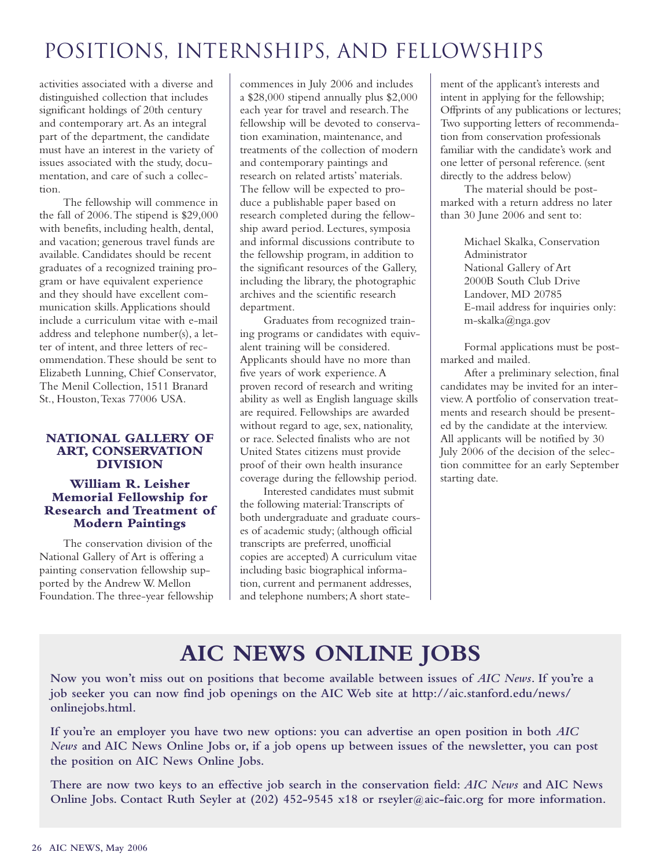## Positions, Internships, and fellowships

activities associated with a diverse and distinguished collection that includes significant holdings of 20th century and contemporary art.As an integral part of the department, the candidate must have an interest in the variety of issues associated with the study, documentation, and care of such a collection.

The fellowship will commence in the fall of 2006.The stipend is \$29,000 with benefits, including health, dental, and vacation; generous travel funds are available. Candidates should be recent graduates of a recognized training program or have equivalent experience and they should have excellent communication skills.Applications should include a curriculum vitae with e-mail address and telephone number(s), a letter of intent, and three letters of recommendation.These should be sent to Elizabeth Lunning, Chief Conservator, The Menil Collection, 1511 Branard St., Houston,Texas 77006 USA.

#### **NATIONAL GALLERY OF ART, CONSERVATION DIVISION**

#### **William R. Leisher Memorial Fellowship for Research and Treatment of Modern Paintings**

The conservation division of the National Gallery of Art is offering a painting conservation fellowship supported by the Andrew W. Mellon Foundation.The three-year fellowship commences in July 2006 and includes a \$28,000 stipend annually plus \$2,000 each year for travel and research.The fellowship will be devoted to conservation examination, maintenance, and treatments of the collection of modern and contemporary paintings and research on related artists' materials. The fellow will be expected to produce a publishable paper based on research completed during the fellowship award period. Lectures, symposia and informal discussions contribute to the fellowship program, in addition to the significant resources of the Gallery, including the library, the photographic archives and the scientific research department.

Graduates from recognized training programs or candidates with equivalent training will be considered. Applicants should have no more than five years of work experience.A proven record of research and writing ability as well as English language skills are required. Fellowships are awarded without regard to age, sex, nationality, or race. Selected finalists who are not United States citizens must provide proof of their own health insurance coverage during the fellowship period.

Interested candidates must submit the following material:Transcripts of both undergraduate and graduate courses of academic study; (although official transcripts are preferred, unofficial copies are accepted) A curriculum vitae including basic biographical information, current and permanent addresses, and telephone numbers;A short state-

ment of the applicant's interests and intent in applying for the fellowship; Offprints of any publications or lectures; Two supporting letters of recommendation from conservation professionals familiar with the candidate's work and one letter of personal reference. (sent directly to the address below)

The material should be postmarked with a return address no later than 30 June 2006 and sent to:

> Michael Skalka, Conservation Administrator National Gallery of Art 2000B South Club Drive Landover, MD 20785 E-mail address for inquiries only: m-skalka@nga.gov

Formal applications must be postmarked and mailed.

After a preliminary selection, final candidates may be invited for an interview.A portfolio of conservation treatments and research should be presented by the candidate at the interview. All applicants will be notified by 30 July 2006 of the decision of the selection committee for an early September starting date.

## **AIC NEWS ONLINE JOBS**

**Now you won't miss out on positions that become available between issues of** *AIC News***. If you're a job seeker you can now find job openings on the AIC Web site at http://aic.stanford.edu/news/ onlinejobs.html.**

**If you're an employer you have two new options: you can advertise an open position in both** *AIC News* **and AIC News Online Jobs or, if a job opens up between issues of the newsletter, you can post the position on AIC News Online Jobs.**

**There are now two keys to an effective job search in the conservation field:** *AIC News* **and AIC News Online Jobs. Contact Ruth Seyler at (202) 452-9545 x18 or rseyler@aic-faic.org for more information.**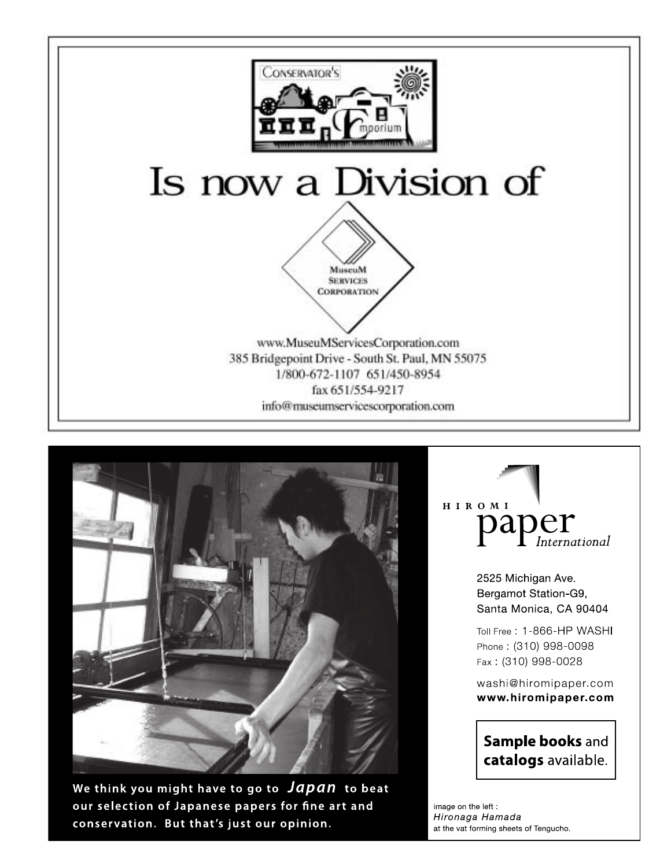



We think you might have to go to Japan to beat our selection of Japanese papers for fine art and conservation. But that's just our opinion.

HIROMI paper

> 2525 Michigan Ave. Bergamot Station-G9, Santa Monica, CA 90404

Toll Free: 1-866-HP WASHI Phone: (310) 998-0098 Fax: (310) 998-0028

washi@hiromipaper.com www.hiromipaper.com

### Sample books and catalogs available.

image on the left : Hironaga Hamada at the vat forming sheets of Tengucho.